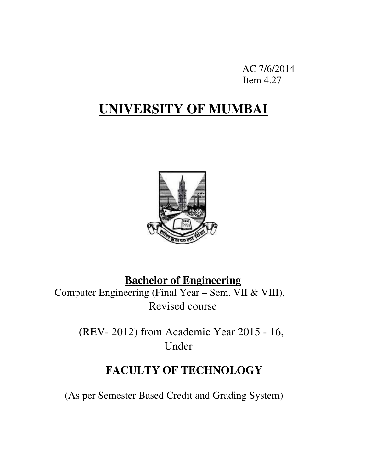AC 7/6/2014 Item 4.27

# **UNIVERSITY OF MUMBAI**



# **Bachelor of Engineering**

Computer Engineering (Final Year – Sem. VII & VIII), Revised course

> (REV- 2012) from Academic Year 2015 - 16, Under

# **FACULTY OF TECHNOLOGY**

(As per Semester Based Credit and Grading System)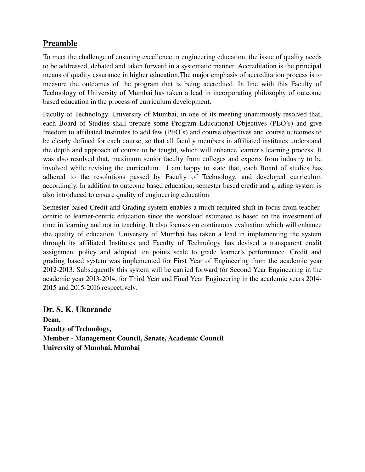# Preamble

To meet the challenge of ensuring excellence in engineering education, the issue of quality needs to be addressed, debated and taken forward in a systematic manner. Accreditation is the principal means of quality assurance in higher education.The major emphasis of accreditation process is to measure the outcomes of the program that is being accredited. In line with this Faculty of Technology of University of Mumbai has taken a lead in incorporating philosophy of outcome based education in the process of curriculum development.

Faculty of Technology, University of Mumbai, in one of its meeting unanimously resolved that, each Board of Studies shall prepare some Program Educational Objectives (PEO's) and give freedom to affiliated Institutes to add few (PEO's) and course objectives and course outcomes to be clearly defined for each course, so that all faculty members in affiliated institutes understand the depth and approach of course to be taught, which will enhance learner's learning process. It was also resolved that, maximum senior faculty from colleges and experts from industry to be involved while revising the curriculum. I am happy to state that, each Board of studies has adhered to the resolutions passed by Faculty of Technology, and developed curriculum accordingly. In addition to outcome based education, semester based credit and grading system is also introduced to ensure quality of engineering education.

Semester based Credit and Grading system enables a muchrequired shift in focus from teachercentric to learner-centric education since the workload estimated is based on the investment of time in learning and not in teaching. It also focuses on continuous evaluation which will enhance the quality of education. University of Mumbai has taken a lead in implementing the system through its affiliated Institutes and Faculty of Technology has devised a transparent credit assignment policy and adopted ten points scale to grade learner's performance. Credit and grading based system was implemented for First Year of Engineering from the academic year 2012-2013. Subsequently this system will be carried forward for Second Year Engineering in the academic year 2013-2014, for Third Year and Final Year Engineering in the academic years 2014-2015 and 2015-2016 respectively.

Dr. S. K. Ukarande Dean, Faculty of Technology, Member - Management Council, Senate, Academic Council University of Mumbai, Mumbai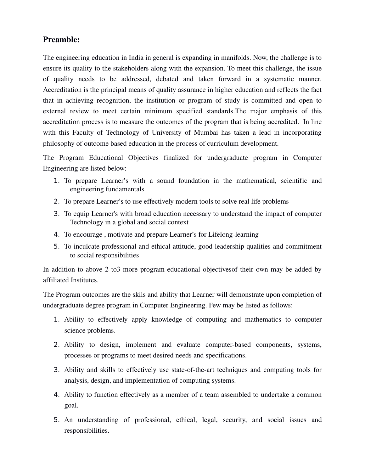### Preamble:

The engineering education in India in general is expanding in manifolds. Now, the challenge is to ensure its quality to the stakeholders along with the expansion. To meet this challenge, the issue of quality needs to be addressed, debated and taken forward in a systematic manner. Accreditation is the principal means of quality assurance in higher education and reflects the fact that in achieving recognition, the institution or program of study is committed and open to external review to meet certain minimum specified standards.The major emphasis of this accreditation process is to measure the outcomes of the program that is being accredited. In line with this Faculty of Technology of University of Mumbai has taken a lead in incorporating philosophy of outcome based education in the process of curriculum development.

The Program Educational Objectives finalized for undergraduate program in Computer Engineering are listed below:

- 1. To prepare Learner's with a sound foundation in the mathematical, scientific and engineering fundamentals
- 2. To prepare Learner's to use effectively modern tools to solve real life problems
- 3. To equip Learner's with broad education necessary to understand the impact of computer Technology in a global and social context
- 4. To encourage, motivate and prepare Learner's for Lifelong-learning
- 5. To inculcate professional and ethical attitude, good leadership qualities and commitment to social responsibilities

In addition to above 2 to3 more program educational objectivesof their own may be added by affiliated Institutes.

The Program outcomes are the skils and ability that Learner will demonstrate upon completion of undergraduate degree program in Computer Engineering. Few may be listed as follows:

- 1. Ability to effectively apply knowledge of computing and mathematics to computer science problems.
- 2. Ability to design, implement and evaluate computer-based components, systems, processes or programs to meet desired needs and specifications.
- 3. Ability and skills to effectively use state-of-the-art techniques and computing tools for analysis, design, and implementation of computing systems.
- 4. Ability to function effectively as a member of a team assembled to undertake a common goal.
- 5. An understanding of professional, ethical, legal, security, and social issues and responsibilities.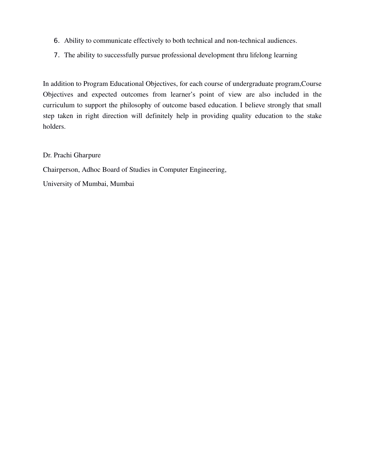- 6. Ability to communicate effectively to both technical and non-technical audiences.
- 7. The ability to successfully pursue professional development thru lifelong learning

In addition to Program Educational Objectives, for each course of undergraduate program,Course Objectives and expected outcomes from learner's point of view are also included in the curriculum to support the philosophy of outcome based education. I believe strongly that small step taken in right direction will definitely help in providing quality education to the stake holders.

Dr. Prachi Gharpure

Chairperson, Adhoc Board of Studies in Computer Engineering,

University of Mumbai, Mumbai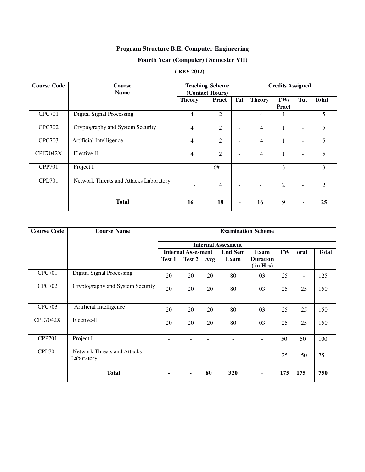### **Program Structure B.E. Computer Engineering**

### **Fourth Year (Computer) ( Semester VII)**

### **( REV 2012)**

| <b>Course Code</b> | <b>Course</b><br><b>Name</b>           | <b>Teaching Scheme</b><br>(Contact Hours) |                |     |               | <b>Credits Assigned</b> |                          |                |
|--------------------|----------------------------------------|-------------------------------------------|----------------|-----|---------------|-------------------------|--------------------------|----------------|
|                    |                                        | <b>Theory</b>                             | Pract          | Tut | <b>Theory</b> | TW/<br>Pract            | Tut                      | <b>Total</b>   |
| <b>CPC701</b>      | <b>Digital Signal Processing</b>       | 4                                         | $\overline{2}$ |     | 4             |                         | ٠                        | 5              |
| <b>CPC702</b>      | Cryptography and System Security       | 4                                         | 2              | ۰   | 4             | $\mathbf{1}$            | $\overline{\phantom{m}}$ | 5              |
| <b>CPC703</b>      | Artificial Intelligence                | 4                                         | $\overline{2}$ | ۰   | 4             |                         | $\overline{\phantom{a}}$ | 5              |
| <b>CPE7042X</b>    | Elective-II                            | 4                                         | $\overline{2}$ |     | 4             | 1                       | $\overline{\phantom{m}}$ | 5              |
| <b>CPP701</b>      | Project I                              |                                           | 6#             |     |               | 3                       | ٠                        | 3              |
| <b>CPL701</b>      | Network Threats and Attacks Laboratory |                                           | 4              |     |               | $\overline{2}$          | $\overline{\phantom{0}}$ | $\mathfrak{D}$ |
|                    | <b>Total</b>                           | 16                                        | 18             | ۰   | 16            | 9                       | ٠                        | 25             |

| <b>Course Code</b> | <b>Course Name</b>                        | <b>Examination Scheme</b> |                           |     |                |                             |     |      |              |
|--------------------|-------------------------------------------|---------------------------|---------------------------|-----|----------------|-----------------------------|-----|------|--------------|
|                    |                                           | <b>Internal Assesment</b> |                           |     |                |                             |     |      |              |
|                    |                                           |                           | <b>Internal Assesment</b> |     | <b>End Sem</b> | Exam                        | TW  | oral | <b>Total</b> |
|                    |                                           | Test 1                    | Test 2                    | Avg | <b>Exam</b>    | <b>Duration</b><br>(in Hrs) |     |      |              |
| <b>CPC701</b>      | <b>Digital Signal Processing</b>          | 20                        | 20                        | 20  | 80             | 03                          | 25  |      | 125          |
| <b>CPC702</b>      | Cryptography and System Security          | 20                        | 20                        | 20  | 80             | 03                          | 25  | 25   | 150          |
| <b>CPC703</b>      | Artificial Intelligence                   | 20                        | 20                        | 20  | 80             | 03                          | 25  | 25   | 150          |
| <b>CPE7042X</b>    | Elective-II                               | 20                        | 20                        | 20  | 80             | 03                          | 25  | 25   | 150          |
| <b>CPP701</b>      | Project I                                 |                           |                           |     |                |                             | 50  | 50   | 100          |
| <b>CPL701</b>      | Network Threats and Attacks<br>Laboratory |                           |                           |     |                |                             | 25  | 50   | 75           |
|                    | <b>Total</b>                              |                           | ۰                         | 80  | 320            | $\overline{\phantom{a}}$    | 175 | 175  | 750          |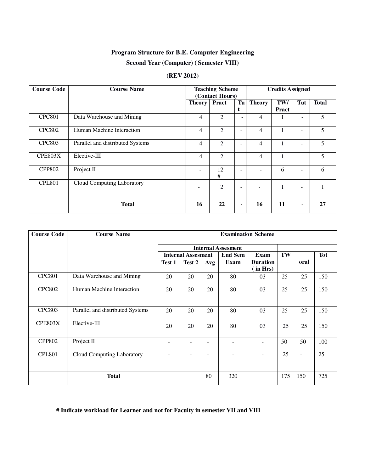### **Program Structure for B.E. Computer Engineering**

#### **Second Year (Computer) ( Semester VIII)**

#### **(REV 2012)**

| <b>Course Code</b> | <b>Course Name</b>               | <b>Teaching Scheme</b><br>(Contact Hours) |                |    | <b>Credits Assigned</b> |              |                          |              |
|--------------------|----------------------------------|-------------------------------------------|----------------|----|-------------------------|--------------|--------------------------|--------------|
|                    |                                  | <b>Theory</b>                             | <b>Pract</b>   | Tu | <b>Theory</b>           | TW/          | Tut                      | <b>Total</b> |
|                    |                                  |                                           |                | t  |                         | Pract        |                          |              |
| <b>CPC801</b>      | Data Warehouse and Mining        | 4                                         | 2              | Ξ. | 4                       |              | ۰                        | 5            |
| <b>CPC802</b>      | Human Machine Interaction        | $\overline{4}$                            | 2              |    | 4                       | 1            | ۰                        | 5            |
| <b>CPC803</b>      | Parallel and distributed Systems | 4                                         | 2              |    | 4                       | 1            | ۰                        | 5            |
| CPE803X            | Elective-III                     | 4                                         | $\mathfrak{D}$ |    | 4                       | $\mathbf{1}$ | -                        | 5            |
| <b>CPP802</b>      | Project II                       |                                           | 12<br>#        |    |                         | 6            | ۰                        | 6            |
| <b>CPL801</b>      | Cloud Computing Laboratory       | -                                         | $\overline{2}$ |    |                         |              | $\overline{\phantom{a}}$ |              |
|                    | <b>Total</b>                     | 16                                        | 22             | -  | 16                      | 11           | $\overline{a}$           | 27           |

| <b>Course Code</b> | <b>Course Name</b>               | <b>Examination Scheme</b> |                           |                          |                          |                             |     |                          |            |
|--------------------|----------------------------------|---------------------------|---------------------------|--------------------------|--------------------------|-----------------------------|-----|--------------------------|------------|
|                    |                                  |                           | <b>Internal Assesment</b> |                          |                          |                             |     |                          |            |
|                    |                                  |                           | <b>Internal Assesment</b> |                          | <b>End Sem</b>           | Exam                        | TW  |                          | <b>Tot</b> |
|                    |                                  | Test 1                    | Test 2                    | Avg                      | Exam                     | <b>Duration</b><br>(in Hrs) |     | oral                     |            |
| <b>CPC801</b>      | Data Warehouse and Mining        | 20                        | 20                        | 20                       | 80                       | 03                          | 25  | 25                       | 150        |
| <b>CPC802</b>      | Human Machine Interaction        | 20                        | 20                        | 20                       | 80                       | 03                          | 25  | 25                       | 150        |
| <b>CPC803</b>      | Parallel and distributed Systems | 20                        | 20                        | 20                       | 80                       | 03                          | 25  | 25                       | 150        |
| <b>CPE803X</b>     | Elective-III                     | 20                        | 20                        | 20                       | 80                       | 03                          | 25  | 25                       | 150        |
| <b>CPP802</b>      | Project II                       | -                         | ٠                         | $\overline{\phantom{a}}$ |                          | $\overline{a}$              | 50  | 50                       | 100        |
| <b>CPL801</b>      | Cloud Computing Laboratory       | ۰                         | $\overline{\phantom{0}}$  | $\overline{\phantom{a}}$ | $\overline{\phantom{0}}$ | ÷                           | 25  | $\overline{\phantom{a}}$ | 25         |
|                    | <b>Total</b>                     |                           |                           | 80                       | 320                      |                             | 175 | 150                      | 725        |

#### **# Indicate workload for Learner and not for Faculty in semester VII and VIII**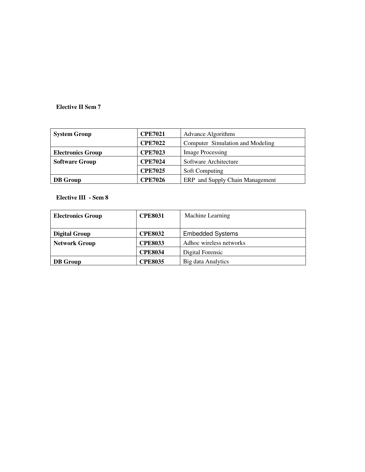#### **Elective II Sem 7**

| <b>System Group</b>      | <b>CPE7021</b> | <b>Advance Algorithms</b>        |
|--------------------------|----------------|----------------------------------|
|                          | <b>CPE7022</b> | Computer Simulation and Modeling |
| <b>Electronics Group</b> | <b>CPE7023</b> | <b>Image Processing</b>          |
| <b>Software Group</b>    | <b>CPE7024</b> | Software Architecture            |
|                          | <b>CPE7025</b> | <b>Soft Computing</b>            |
| <b>DB</b> Group          | <b>CPE7026</b> | ERP and Supply Chain Management  |

#### **Elective III - Sem 8**

| <b>Electronics Group</b>               | <b>CPE8031</b> | Machine Learning        |
|----------------------------------------|----------------|-------------------------|
| <b>Digital Group</b>                   | <b>CPE8032</b> | <b>Embedded Systems</b> |
| <b>Network Group</b><br><b>CPE8033</b> |                | Adhoc wireless networks |
|                                        | <b>CPE8034</b> | Digital Forensic        |
| <b>DB</b> Group                        | <b>CPE8035</b> | Big data Analytics      |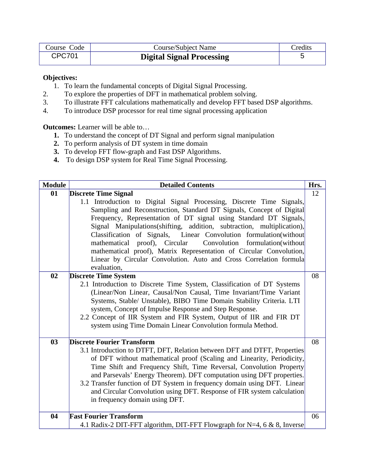| Course Code   | Course/Subject Name              | Credits |
|---------------|----------------------------------|---------|
| <b>CPC701</b> | <b>Digital Signal Processing</b> |         |

#### **Objectives:**

- 1. To learn the fundamental concepts of Digital Signal Processing.
- 2. To explore the properties of DFT in mathematical problem solving.
- 3. To illustrate FFT calculations mathematically and develop FFT based DSP algorithms.
- 4. To introduce DSP processor for real time signal processing application

**Outcomes:** Learner will be able to…

- **1.** To understand the concept of DT Signal and perform signal manipulation
- **2.** To perform analysis of DT system in time domain
- **3.** To develop FFT flow-graph and Fast DSP Algorithms.
- **4.** To design DSP system for Real Time Signal Processing.

| <b>Module</b> | <b>Detailed Contents</b>                                                                                                                                                                                                                                                                                                                                                                                                                                                                                                                                                                       | Hrs. |
|---------------|------------------------------------------------------------------------------------------------------------------------------------------------------------------------------------------------------------------------------------------------------------------------------------------------------------------------------------------------------------------------------------------------------------------------------------------------------------------------------------------------------------------------------------------------------------------------------------------------|------|
| 01            | <b>Discrete Time Signal</b>                                                                                                                                                                                                                                                                                                                                                                                                                                                                                                                                                                    | 12   |
|               | 1.1 Introduction to Digital Signal Processing, Discrete Time Signals,<br>Sampling and Reconstruction, Standard DT Signals, Concept of Digital<br>Frequency, Representation of DT signal using Standard DT Signals,<br>Signal Manipulations(shifting, addition, subtraction, multiplication),<br>Classification of Signals, Linear Convolution formulation(without<br>mathematical proof), Circular Convolution formulation(without<br>mathematical proof), Matrix Representation of Circular Convolution,<br>Linear by Circular Convolution. Auto and Cross Correlation formula<br>evaluation, |      |
| 02            | <b>Discrete Time System</b>                                                                                                                                                                                                                                                                                                                                                                                                                                                                                                                                                                    | 08   |
|               | 2.1 Introduction to Discrete Time System, Classification of DT Systems<br>(Linear/Non Linear, Causal/Non Causal, Time Invariant/Time Variant<br>Systems, Stable/ Unstable), BIBO Time Domain Stability Criteria. LTI<br>system, Concept of Impulse Response and Step Response.<br>2.2 Concept of IIR System and FIR System, Output of IIR and FIR DT<br>system using Time Domain Linear Convolution formula Method.                                                                                                                                                                            |      |
| 03            | <b>Discrete Fourier Transform</b>                                                                                                                                                                                                                                                                                                                                                                                                                                                                                                                                                              | 08   |
|               | 3.1 Introduction to DTFT, DFT, Relation between DFT and DTFT, Properties<br>of DFT without mathematical proof (Scaling and Linearity, Periodicity,<br>Time Shift and Frequency Shift, Time Reversal, Convolution Property<br>and Parsevals' Energy Theorem). DFT computation using DFT properties.<br>3.2 Transfer function of DT System in frequency domain using DFT. Linear<br>and Circular Convolution using DFT. Response of FIR system calculation<br>in frequency domain using DFT.                                                                                                     |      |
| 04            | <b>Fast Fourier Transform</b>                                                                                                                                                                                                                                                                                                                                                                                                                                                                                                                                                                  | 06   |
|               | 4.1 Radix-2 DIT-FFT algorithm, DIT-FFT Flowgraph for N=4, 6 & 8, Inverse                                                                                                                                                                                                                                                                                                                                                                                                                                                                                                                       |      |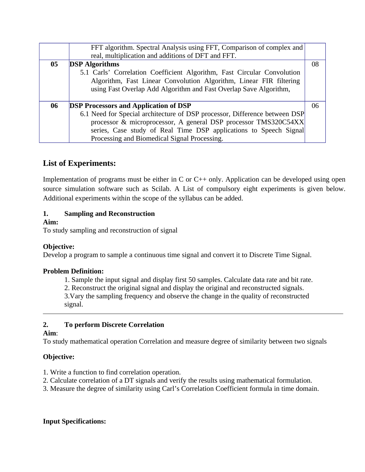|    | FFT algorithm. Spectral Analysis using FFT, Comparison of complex and      |    |
|----|----------------------------------------------------------------------------|----|
|    | real, multiplication and additions of DFT and FFT.                         |    |
| 05 | <b>DSP</b> Algorithms                                                      | 08 |
|    | 5.1 Carls' Correlation Coefficient Algorithm, Fast Circular Convolution    |    |
|    | Algorithm, Fast Linear Convolution Algorithm, Linear FIR filtering         |    |
|    | using Fast Overlap Add Algorithm and Fast Overlap Save Algorithm,          |    |
|    |                                                                            |    |
| 06 | <b>DSP Processors and Application of DSP</b>                               | 06 |
|    | 6.1 Need for Special architecture of DSP processor, Difference between DSP |    |
|    | processor & microprocessor, A general DSP processor TMS320C54XX            |    |
|    | series, Case study of Real Time DSP applications to Speech Signal          |    |
|    | Processing and Biomedical Signal Processing.                               |    |

# **List of Experiments:**

Implementation of programs must be either in C or C<sup>++</sup> only. Application can be developed using open source simulation software such as Scilab. A List of compulsory eight experiments is given below. Additional experiments within the scope of the syllabus can be added.

### **1. Sampling and Reconstruction**

#### **Aim:**

To study sampling and reconstruction of signal

### **Objective:**

Develop a program to sample a continuous time signal and convert it to Discrete Time Signal.

#### **Problem Definition:**

1. Sample the input signal and display first 50 samples. Calculate data rate and bit rate.

2. Reconstruct the original signal and display the original and reconstructed signals.

3.Vary the sampling frequency and observe the change in the quality of reconstructed signal.

### **2. To perform Discrete Correlation**

### **Aim**:

To study mathematical operation Correlation and measure degree of similarity between two signals

### **Objective:**

- 1. Write a function to find correlation operation.
- 2. Calculate correlation of a DT signals and verify the results using mathematical formulation.
- 3. Measure the degree of similarity using Carl's Correlation Coefficient formula in time domain.

### **Input Specifications:**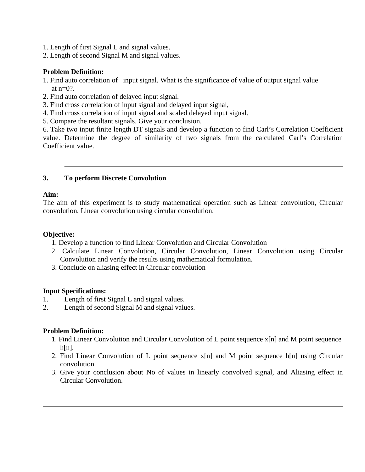- 1. Length of first Signal L and signal values.
- 2. Length of second Signal M and signal values.

#### **Problem Definition:**

- 1. Find auto correlation of input signal. What is the significance of value of output signal value at  $n=0$ ?.
- 2. Find auto correlation of delayed input signal.
- 3. Find cross correlation of input signal and delayed input signal,
- 4. Find cross correlation of input signal and scaled delayed input signal.
- 5. Compare the resultant signals. Give your conclusion.

6. Take two input finite length DT signals and develop a function to find Carl's Correlation Coefficient value. Determine the degree of similarity of two signals from the calculated Carl's Correlation Coefficient value.

#### **3. To perform Discrete Convolution**

#### **Aim:**

The aim of this experiment is to study mathematical operation such as Linear convolution, Circular convolution, Linear convolution using circular convolution.

#### **Objective:**

- 1. Develop a function to find Linear Convolution and Circular Convolution
- 2. Calculate Linear Convolution, Circular Convolution, Linear Convolution using Circular Convolution and verify the results using mathematical formulation.
- 3. Conclude on aliasing effect in Circular convolution

#### **Input Specifications:**

- 1. Length of first Signal L and signal values.
- 2. Length of second Signal M and signal values.

#### **Problem Definition:**

- 1. Find Linear Convolution and Circular Convolution of L point sequence x[n] and M point sequence h[n].
- 2. Find Linear Convolution of L point sequence x[n] and M point sequence h[n] using Circular convolution.
- 3. Give your conclusion about No of values in linearly convolved signal, and Aliasing effect in Circular Convolution.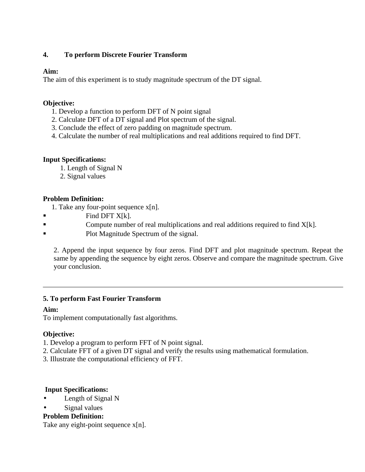### **4. To perform Discrete Fourier Transform**

### **Aim:**

The aim of this experiment is to study magnitude spectrum of the DT signal.

### **Objective:**

- 1. Develop a function to perform DFT of N point signal
- 2. Calculate DFT of a DT signal and Plot spectrum of the signal.
- 3. Conclude the effect of zero padding on magnitude spectrum.
- 4. Calculate the number of real multiplications and real additions required to find DFT.

### **Input Specifications:**

- 1. Length of Signal N
- 2. Signal values

### **Problem Definition:**

- 1. Take any four-point sequence  $x[n]$ .
- $\blacksquare$  Find DFT X[k].
- Compute number of real multiplications and real additions required to find  $X[k]$ .
- Plot Magnitude Spectrum of the signal.

2. Append the input sequence by four zeros. Find DFT and plot magnitude spectrum. Repeat the same by appending the sequence by eight zeros. Observe and compare the magnitude spectrum. Give your conclusion.

### **5. To perform Fast Fourier Transform**

### **Aim:**

To implement computationally fast algorithms.

### **Objective:**

- 1. Develop a program to perform FFT of N point signal.
- 2. Calculate FFT of a given DT signal and verify the results using mathematical formulation.
- 3. Illustrate the computational efficiency of FFT.

### **Input Specifications:**

- Length of Signal N
- Signal values

### **Problem Definition:**

Take any eight-point sequence  $x[n]$ .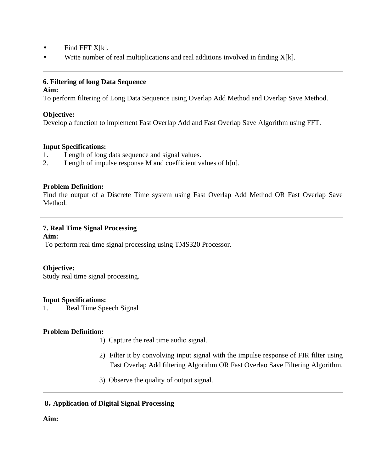- $\bullet$  Find FFT X[k].
- Write number of real multiplications and real additions involved in finding  $X[k]$ .

### **6. Filtering of long Data Sequence**

#### **Aim:**

To perform filtering of Long Data Sequence using Overlap Add Method and Overlap Save Method.

### **Objective:**

Develop a function to implement Fast Overlap Add and Fast Overlap Save Algorithm using FFT.

### **Input Specifications:**

- 1. Length of long data sequence and signal values.
- 2. Length of impulse response M and coefficient values of h[n].

### **Problem Definition:**

Find the output of a Discrete Time system using Fast Overlap Add Method OR Fast Overlap Save Method.

### **7. Real Time Signal Processing**

### **Aim:**

To perform real time signal processing using TMS320 Processor.

### **Objective:**

Study real time signal processing.

### **Input Specifications:**

1. Real Time Speech Signal

### **Problem Definition:**

- 1)Capture the real time audio signal.
- 2) Filter it by convolving input signal with the impulse response of FIR filter using Fast Overlap Add filtering Algorithm OR Fast Overlao Save Filtering Algorithm.
- 3) Observe the quality of output signal.

### **8. Application of Digital Signal Processing**

### **Aim:**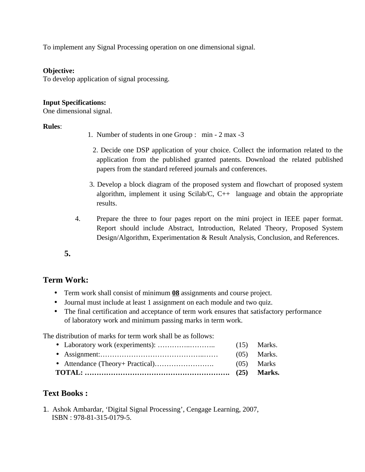To implement any Signal Processing operation on one dimensional signal.

#### **Objective:**

To develop application of signal processing.

#### **Input Specifications:**

One dimensional signal.

### **Rules**:

- 1. Number of students in one Group : min 2 max -3
	- 2. Decide one DSP application of your choice. Collect the information related to the application from the published granted patents. Download the related published papers from the standard refereed journals and conferences.
- 3. Develop a block diagram of the proposed system and flowchart of proposed system algorithm, implement it using Scilab/C,  $C++$  language and obtain the appropriate results.
- 4. Prepare the three to four pages report on the mini project in IEEE paper format. Report should include Abstract, Introduction, Related Theory, Proposed System Design/Algorithm, Experimentation & Result Analysis, Conclusion, and References.

**5.**

### **Term Work:**

- Term work shall consist of minimum **08** assignments and course project.
- Journal must include at least 1 assignment on each module and two quiz.
- The final certification and acceptance of term work ensures that satisfactory performance of laboratory work and minimum passing marks in term work.

The distribution of marks for term work shall be as follows:

|  | $(05)$ Marks  |
|--|---------------|
|  | $(05)$ Marks. |
|  | $(15)$ Marks. |

### **Text Books :**

1. Ashok Ambardar, 'Digital Signal Processing', Cengage Learning, 2007, ISBN : 978-81-315-0179-5.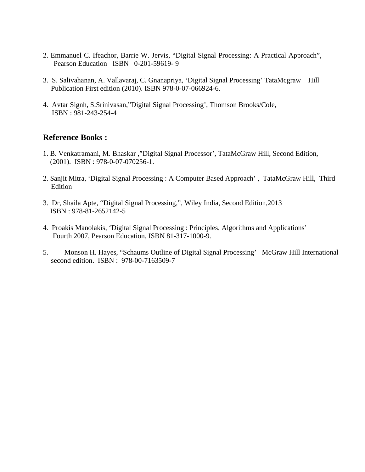- 2. Emmanuel C. Ifeachor, Barrie W. Jervis, "Digital Signal Processing: A Practical Approach", Pearson Education ISBN 0-201-59619- 9
- 3. S. Salivahanan, A. Vallavaraj, C. Gnanapriya, 'Digital Signal Processing' TataMcgraw Hill Publication First edition (2010). ISBN 978-0-07-066924-6.
- 4. Avtar Signh, S.Srinivasan,"Digital Signal Processing', Thomson Brooks/Cole, ISBN : 981-243-254-4

### **Reference Books :**

- 1. B. Venkatramani, M. Bhaskar ,"Digital Signal Processor', TataMcGraw Hill, Second Edition, (2001). ISBN : 978-0-07-070256-1.
- 2. Sanjit Mitra, 'Digital Signal Processing : A Computer Based Approach' , TataMcGraw Hill, Third Edition
- 3. Dr, Shaila Apte, "Digital Signal Processing,", Wiley India, Second Edition,2013 ISBN : 978-81-2652142-5
- 4. Proakis Manolakis, 'Digital Signal Processing : Principles, Algorithms and Applications' Fourth 2007, Pearson Education, ISBN 81-317-1000-9.
- 5. Monson H. Hayes, "Schaums Outline of Digital Signal Processing' McGraw Hill International second edition. ISBN : 978-00-7163509-7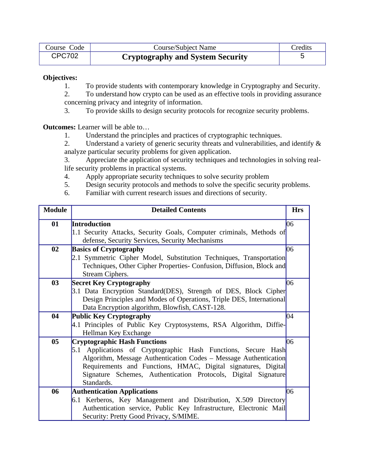| Course Code   | Course/Subject Name                     | Credits |
|---------------|-----------------------------------------|---------|
| <b>CPC702</b> | <b>Cryptography and System Security</b> |         |

#### **Objectives:**

- 1. To provide students with contemporary knowledge in Cryptography and Security.
- 2. To understand how crypto can be used as an effective tools in providing assurance concerning privacy and integrity of information.
- 3. To provide skills to design security protocols for recognize security problems.

**Outcomes:** Learner will be able to…

1. Understand the principles and practices of cryptographic techniques.

2. Understand a variety of generic security threats and vulnerabilities, and identify & analyze particular security problems for given application.

3. Appreciate the application of security techniques and technologies in solving reallife security problems in practical systems.

- 4. Apply appropriate security techniques to solve security problem
- 5. Design security protocols and methods to solve the specific security problems.
- 6. Familiar with current research issues and directions of security.

| <b>Module</b> | <b>Detailed Contents</b>                                             | <b>Hrs</b> |
|---------------|----------------------------------------------------------------------|------------|
| 01            | Introduction                                                         | 06         |
|               | 1.1 Security Attacks, Security Goals, Computer criminals, Methods of |            |
|               | defense, Security Services, Security Mechanisms                      |            |
| 02            | <b>Basics of Cryptography</b>                                        | 06         |
|               | 2.1 Symmetric Cipher Model, Substitution Techniques, Transportation  |            |
|               | Techniques, Other Cipher Properties- Confusion, Diffusion, Block and |            |
|               | Stream Ciphers.                                                      |            |
| 03            | <b>Secret Key Cryptography</b>                                       | 06         |
|               | 3.1 Data Encryption Standard(DES), Strength of DES, Block Cipher     |            |
|               | Design Principles and Modes of Operations, Triple DES, International |            |
|               | Data Encryption algorithm, Blowfish, CAST-128.                       |            |
| 04            | Public Key Cryptography                                              | 04         |
|               | 4.1 Principles of Public Key Cryptosystems, RSA Algorithm, Diffie-   |            |
|               | Hellman Key Exchange                                                 |            |
| 05            | <b>Cryptographic Hash Functions</b>                                  | 06         |
|               | 5.1 Applications of Cryptographic Hash Functions, Secure Hash        |            |
|               | Algorithm, Message Authentication Codes - Message Authentication     |            |
|               | Requirements and Functions, HMAC, Digital signatures, Digital        |            |
|               | Signature Schemes, Authentication Protocols, Digital Signature       |            |
|               | Standards.                                                           |            |
| 06            | <b>Authentication Applications</b>                                   | 06         |
|               | 6.1 Kerberos, Key Management and Distribution, X.509 Directory       |            |
|               | Authentication service, Public Key Infrastructure, Electronic Mail   |            |
|               | Security: Pretty Good Privacy, S/MIME.                               |            |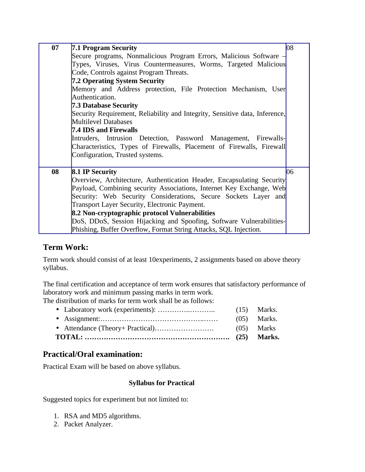| 07 | <b>7.1 Program Security</b>                                                 | 08 |
|----|-----------------------------------------------------------------------------|----|
|    | Secure programs, Nonmalicious Program Errors, Malicious Software $-$        |    |
|    | Types, Viruses, Virus Countermeasures, Worms, Targeted Malicious            |    |
|    | Code, Controls against Program Threats.                                     |    |
|    | <b>7.2 Operating System Security</b>                                        |    |
|    | Memory and Address protection, File Protection Mechanism, User              |    |
|    | Authentication.                                                             |    |
|    | <b>7.3 Database Security</b>                                                |    |
|    | Security Requirement, Reliability and Integrity, Sensitive data, Inference, |    |
|    | Multilevel Databases                                                        |    |
|    | 7.4 IDS and Firewalls                                                       |    |
|    | Intruders, Intrusion Detection, Password Management, Firewalls-             |    |
|    | Characteristics, Types of Firewalls, Placement of Firewalls, Firewall       |    |
|    | Configuration, Trusted systems.                                             |    |
|    |                                                                             |    |
| 08 | <b>8.1 IP Security</b>                                                      | 06 |
|    | Overview, Architecture, Authentication Header, Encapsulating Security       |    |
|    | Payload, Combining security Associations, Internet Key Exchange, Web        |    |
|    | Security: Web Security Considerations, Secure Sockets Layer and             |    |
|    | <b>Transport Layer Security, Electronic Payment.</b>                        |    |
|    | 8.2 Non-cryptographic protocol Vulnerabilities                              |    |
|    | DoS, DDoS, Session Hijacking and Spoofing, Software Vulnerabilities-        |    |
|    | Phishing, Buffer Overflow, Format String Attacks, SQL Injection.            |    |

### **Term Work:**

Term work should consist of at least 10experiments, 2 assignments based on above theory syllabus.

The final certification and acceptance of term work ensures that satisfactory performance of laboratory work and minimum passing marks in term work.

The distribution of marks for term work shall be as follows:

|  | (05) Marks    |
|--|---------------|
|  | $(05)$ Marks. |
|  | $(15)$ Marks. |

### **Practical/Oral examination:**

Practical Exam will be based on above syllabus.

### **Syllabus for Practical**

Suggested topics for experiment but not limited to:

- 1. RSA and MD5 algorithms.
- 2. Packet Analyzer.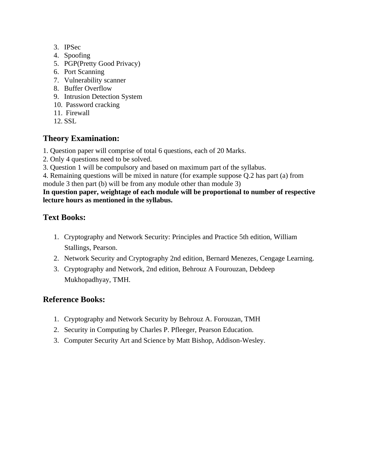- 3. IPSec
- 4. Spoofing
- 5. PGP(Pretty Good Privacy)
- 6. Port Scanning
- 7. Vulnerability scanner
- 8. Buffer Overflow
- 9. Intrusion Detection System
- 10. Password cracking
- 11. Firewall
- 12. SSL

### **Theory Examination:**

- 1. Question paper will comprise of total 6 questions, each of 20 Marks.
- 2. Only 4 questions need to be solved.
- 3. Question 1 will be compulsory and based on maximum part of the syllabus.

4. Remaining questions will be mixed in nature (for example suppose Q.2 has part (a) from module 3 then part (b) will be from any module other than module 3)

#### **In question paper, weightage of each module will be proportional to number of respective lecture hours as mentioned in the syllabus.**

# **Text Books:**

- 1. Cryptography and Network Security: Principles and Practice 5th edition, William Stallings, Pearson.
- 2. Network Security and Cryptography 2nd edition, Bernard Menezes, Cengage Learning.
- 3. Cryptography and Network, 2nd edition, Behrouz A Fourouzan, Debdeep Mukhopadhyay, TMH.

### **Reference Books:**

- 1. Cryptography and Network Security by Behrouz A. Forouzan, TMH
- 2. Security in Computing by Charles P. Pfleeger, Pearson Education.
- 3. Computer Security Art and Science by Matt Bishop, Addison-Wesley.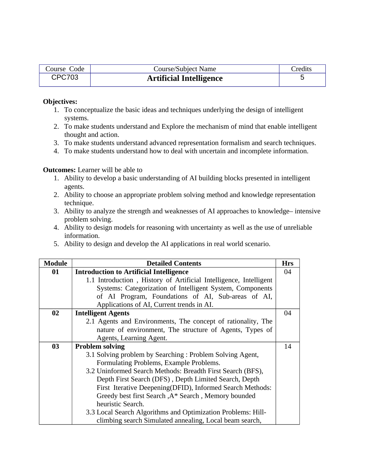| Course Code   | <b>Course/Subject Name</b>     | Credits |
|---------------|--------------------------------|---------|
| <b>CPC703</b> | <b>Artificial Intelligence</b> |         |

#### **Objectives:**

- 1. To conceptualize the basic ideas and techniques underlying the design of intelligent systems.
- 2. To make students understand and Explore the mechanism of mind that enable intelligent thought and action.
- 3. To make students understand advanced representation formalism and search techniques.
- 4. To make students understand how to deal with uncertain and incomplete information.

#### **Outcomes:** Learner will be able to

- 1. Ability to develop a basic understanding of AI building blocks presented in intelligent agents.
- 2. Ability to choose an appropriate problem solving method and knowledge representation technique.
- 3. Ability to analyze the strength and weaknesses of AI approaches to knowledge– intensive problem solving.
- 4. Ability to design models for reasoning with uncertainty as well as the use of unreliable information.
- 5. Ability to design and develop the AI applications in real world scenario.

| <b>Module</b> | <b>Detailed Contents</b>                                          | <b>Hrs</b> |
|---------------|-------------------------------------------------------------------|------------|
| 01            | <b>Introduction to Artificial Intelligence</b>                    | 04         |
|               | 1.1 Introduction, History of Artificial Intelligence, Intelligent |            |
|               | Systems: Categorization of Intelligent System, Components         |            |
|               | of AI Program, Foundations of AI, Sub-areas of AI,                |            |
|               | Applications of AI, Current trends in AI.                         |            |
| 02            | <b>Intelligent Agents</b>                                         | 04         |
|               | 2.1 Agents and Environments, The concept of rationality, The      |            |
|               | nature of environment, The structure of Agents, Types of          |            |
|               | Agents, Learning Agent.                                           |            |
| 03            | <b>Problem solving</b>                                            | 14         |
|               | 3.1 Solving problem by Searching: Problem Solving Agent,          |            |
|               | Formulating Problems, Example Problems.                           |            |
|               | 3.2 Uninformed Search Methods: Breadth First Search (BFS),        |            |
|               | Depth First Search (DFS), Depth Limited Search, Depth             |            |
|               | First Iterative Deepening(DFID), Informed Search Methods:         |            |
|               | Greedy best first Search, A* Search, Memory bounded               |            |
|               | heuristic Search.                                                 |            |
|               | 3.3 Local Search Algorithms and Optimization Problems: Hill-      |            |
|               | climbing search Simulated annealing, Local beam search,           |            |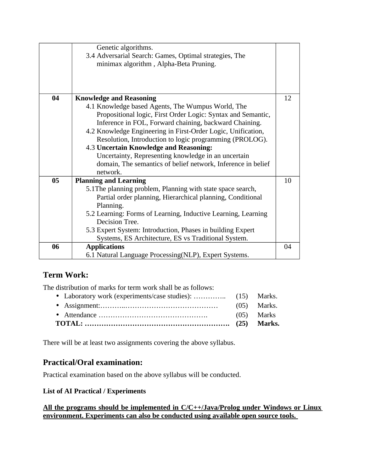|    | Genetic algorithms.                                                                              |    |
|----|--------------------------------------------------------------------------------------------------|----|
|    | 3.4 Adversarial Search: Games, Optimal strategies, The<br>minimax algorithm, Alpha-Beta Pruning. |    |
|    |                                                                                                  |    |
|    |                                                                                                  |    |
|    |                                                                                                  |    |
| 04 | <b>Knowledge and Reasoning</b>                                                                   | 12 |
|    | 4.1 Knowledge based Agents, The Wumpus World, The                                                |    |
|    | Propositional logic, First Order Logic: Syntax and Semantic,                                     |    |
|    | Inference in FOL, Forward chaining, backward Chaining.                                           |    |
|    | 4.2 Knowledge Engineering in First-Order Logic, Unification,                                     |    |
|    | Resolution, Introduction to logic programming (PROLOG).                                          |    |
|    | 4.3 Uncertain Knowledge and Reasoning:                                                           |    |
|    | Uncertainty, Representing knowledge in an uncertain                                              |    |
|    | domain, The semantics of belief network, Inference in belief                                     |    |
|    | network.                                                                                         |    |
| 05 | <b>Planning and Learning</b>                                                                     | 10 |
|    | 5.1 The planning problem, Planning with state space search,                                      |    |
|    | Partial order planning, Hierarchical planning, Conditional                                       |    |
|    | Planning.                                                                                        |    |
|    | 5.2 Learning: Forms of Learning, Inductive Learning, Learning                                    |    |
|    | Decision Tree.                                                                                   |    |
|    | 5.3 Expert System: Introduction, Phases in building Expert                                       |    |
|    | Systems, ES Architecture, ES vs Traditional System.                                              |    |
| 06 | <b>Applications</b>                                                                              | 04 |
|    | 6.1 Natural Language Processing(NLP), Expert Systems.                                            |    |

# **Term Work:**

The distribution of marks for term work shall be as follows:

There will be at least two assignments covering the above syllabus.

# **Practical/Oral examination:**

Practical examination based on the above syllabus will be conducted.

### **List of AI Practical / Experiments**

**All the programs should be implemented in C/C++/Java/Prolog under Windows or Linux environment. Experiments can also be conducted using available open source tools.**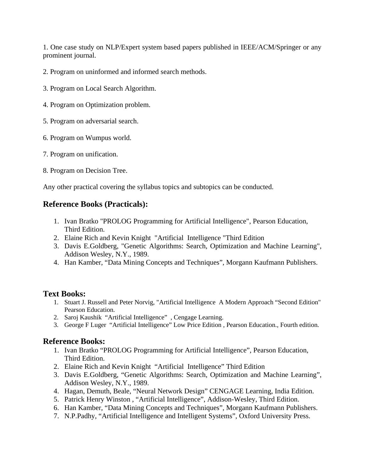1. One case study on NLP/Expert system based papers published in IEEE/ACM/Springer or any prominent journal.

- 2. Program on uninformed and informed search methods.
- 3. Program on Local Search Algorithm.
- 4. Program on Optimization problem.
- 5. Program on adversarial search.
- 6. Program on Wumpus world.
- 7. Program on unification.
- 8. Program on Decision Tree.

Any other practical covering the syllabus topics and subtopics can be conducted.

## **Reference Books (Practicals):**

- 1. Ivan Bratko "PROLOG Programming for Artificial Intelligence", Pearson Education, Third Edition.
- 2. Elaine Rich and Kevin Knight "Artificial Intelligence "Third Edition
- 3. Davis E.Goldberg, "Genetic Algorithms: Search, Optimization and Machine Learning", Addison Wesley, N.Y., 1989.
- 4. Han Kamber, "Data Mining Concepts and Techniques", Morgann Kaufmann Publishers.

### **Text Books:**

- 1. Stuart J. Russell and Peter Norvig, "Artificial Intelligence A Modern Approach "Second Edition" Pearson Education.
- 2. Saroj Kaushik "Artificial Intelligence" , Cengage Learning.
- 3. George F Luger "Artificial Intelligence" Low Price Edition , Pearson Education., Fourth edition.

### **Reference Books:**

- 1. Ivan Bratko "PROLOG Programming for Artificial Intelligence", Pearson Education, Third Edition.
- 2. Elaine Rich and Kevin Knight "Artificial Intelligence" Third Edition
- 3. Davis E.Goldberg, "Genetic Algorithms: Search, Optimization and Machine Learning", Addison Wesley, N.Y., 1989.
- 4. Hagan, Demuth, Beale, "Neural Network Design" CENGAGE Learning, India Edition.
- 5. Patrick Henry Winston , "Artificial Intelligence", Addison-Wesley, Third Edition.
- 6. Han Kamber, "Data Mining Concepts and Techniques", Morgann Kaufmann Publishers.
- 7. N.P.Padhy, "Artificial Intelligence and Intelligent Systems", Oxford University Press.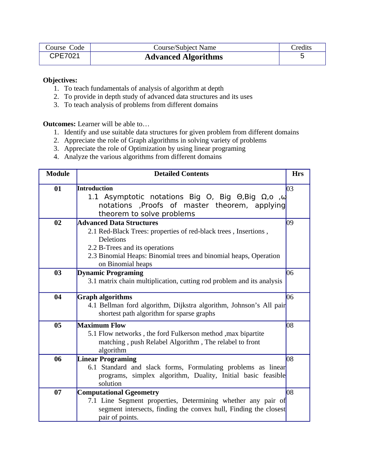| Course Code | <b>Course/Subject Name</b> | Credits |
|-------------|----------------------------|---------|
| CPE7021     | <b>Advanced Algorithms</b> |         |

#### **Objectives:**

- 1. To teach fundamentals of analysis of algorithm at depth
- 2. To provide in depth study of advanced data structures and its uses
- 3. To teach analysis of problems from different domains

**Outcomes:** Learner will be able to…

- 1. Identify and use suitable data structures for given problem from different domains
- 2. Appreciate the role of Graph algorithms in solving variety of problems
- 3. Appreciate the role of Optimization by using linear programing
- 4. Analyze the various algorithms from different domains

| <b>Module</b> | <b>Detailed Contents</b>                                                                                                                                                                                                                          | <b>Hrs</b> |
|---------------|---------------------------------------------------------------------------------------------------------------------------------------------------------------------------------------------------------------------------------------------------|------------|
| 01            | Introduction<br>1.1 Asymptotic notations Big O, Big $\Theta$ , Big $\Omega$ , $\omega$ ,<br>notations ,Proofs of master theorem, applying<br>theorem to solve problems                                                                            | 03         |
| 02            | <b>Advanced Data Structures</b><br>2.1 Red-Black Trees: properties of red-black trees, Insertions,<br><b>Deletions</b><br>2.2 B-Trees and its operations<br>2.3 Binomial Heaps: Binomial trees and binomial heaps, Operation<br>on Binomial heaps | 09         |
| 03            | <b>Dynamic Programing</b><br>3.1 matrix chain multiplication, cutting rod problem and its analysis                                                                                                                                                | 06         |
| 04            | <b>Graph algorithms</b><br>4.1 Bellman ford algorithm, Dijkstra algorithm, Johnson's All pair<br>shortest path algorithm for sparse graphs                                                                                                        | 06         |
| 05            | <b>Maximum Flow</b><br>5.1 Flow networks, the ford Fulkerson method, max bipartite<br>matching, push Relabel Algorithm, The relabel to front<br>algorithm                                                                                         | 08         |
| 06            | <b>Linear Programing</b><br>6.1 Standard and slack forms, Formulating problems as linear<br>programs, simplex algorithm, Duality, Initial basic feasible<br>solution                                                                              | 08         |
| 07            | <b>Computational Ggeometry</b><br>7.1 Line Segment properties, Determining whether any pair of<br>segment intersects, finding the convex hull, Finding the closest<br>pair of points.                                                             | 08         |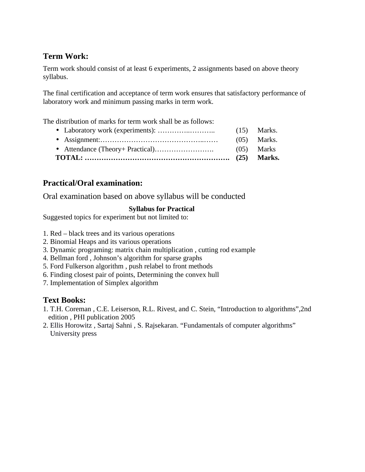# **Term Work:**

Term work should consist of at least 6 experiments, 2 assignments based on above theory syllabus.

The final certification and acceptance of term work ensures that satisfactory performance of laboratory work and minimum passing marks in term work.

The distribution of marks for term work shall be as follows:

• Laboratory work (experiments): …………..……….. (15) Marks. • Assignment:……………………………………..…… (05) Marks. • Attendance (Theory+ Practical)……………………. (05) Marks **TOTAL: ……………………………………………………. (25) Marks.**

# **Practical/Oral examination:**

Oral examination based on above syllabus will be conducted

### **Syllabus for Practical**

Suggested topics for experiment but not limited to:

- 1. Red black trees and its various operations
- 2. Binomial Heaps and its various operations
- 3. Dynamic programing: matrix chain multiplication , cutting rod example
- 4. Bellman ford , Johnson's algorithm for sparse graphs
- 5. Ford Fulkerson algorithm , push relabel to front methods
- 6. Finding closest pair of points, Determining the convex hull
- 7. Implementation of Simplex algorithm

### **Text Books:**

- 1. T.H. Coreman , C.E. Leiserson, R.L. Rivest, and C. Stein, "Introduction to algorithms",2nd edition , PHI publication 2005
- 2. Ellis Horowitz , Sartaj Sahni , S. Rajsekaran. "Fundamentals of computer algorithms" University press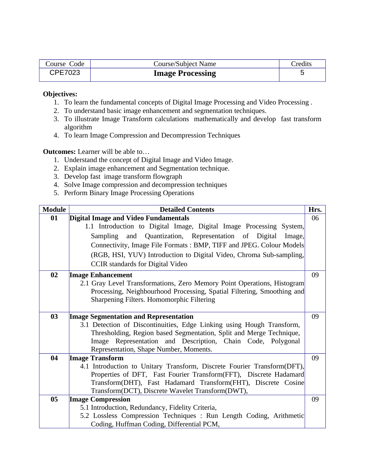| Course Code | Course/Subject Name     | Credits |
|-------------|-------------------------|---------|
| CPE7023     | <b>Image Processing</b> |         |

#### **Objectives:**

- 1. To learn the fundamental concepts of Digital Image Processing and Video Processing .
- 2. To understand basic image enhancement and segmentation techniques.
- 3. To illustrate Image Transform calculations mathematically and develop fast transform algorithm
- 4. To learn Image Compression and Decompression Techniques

**Outcomes:** Learner will be able to…

- 1. Understand the concept of Digital Image and Video Image.
- 2. Explain image enhancement and Segmentation technique.
- 3. Develop fast image transform flowgraph
- 4. Solve Image compression and decompression techniques
- 5. Perform Binary Image Processing Operations

| <b>Module</b> | <b>Detailed Contents</b>                                                | Hrs. |
|---------------|-------------------------------------------------------------------------|------|
| 01            | <b>Digital Image and Video Fundamentals</b>                             | 06   |
|               | 1.1 Introduction to Digital Image, Digital Image Processing System,     |      |
|               | Sampling and Quantization, Representation of Digital<br>Image,          |      |
|               | Connectivity, Image File Formats: BMP, TIFF and JPEG. Colour Models     |      |
|               | (RGB, HSI, YUV) Introduction to Digital Video, Chroma Sub-sampling,     |      |
|               | <b>CCIR</b> standards for Digital Video                                 |      |
| 02            | <b>Image Enhancement</b>                                                | 09   |
|               | 2.1 Gray Level Transformations, Zero Memory Point Operations, Histogram |      |
|               | Processing, Neighbourhood Processing, Spatial Filtering, Smoothing and  |      |
|               | Sharpening Filters. Homomorphic Filtering                               |      |
|               |                                                                         |      |
| 03            | <b>Image Segmentation and Representation</b>                            | 09   |
|               | 3.1 Detection of Discontinuities, Edge Linking using Hough Transform,   |      |
|               | Thresholding, Region based Segmentation, Split and Merge Technique,     |      |
|               | Image Representation and Description, Chain Code, Polygonal             |      |
|               | Representation, Shape Number, Moments.                                  |      |
| 04            | <b>Image Transform</b>                                                  | 09   |
|               | 4.1 Introduction to Unitary Transform, Discrete Fourier Transform(DFT), |      |
|               | Properties of DFT, Fast Fourier Transform(FFT), Discrete Hadamard       |      |
|               | Transform(DHT), Fast Hadamard Transform(FHT), Discrete Cosine           |      |
|               | Transform(DCT), Discrete Wavelet Transform(DWT),                        |      |
| 05            | <b>Image Compression</b>                                                | 09   |
|               | 5.1 Introduction, Redundancy, Fidelity Criteria,                        |      |
|               | 5.2 Lossless Compression Techniques : Run Length Coding, Arithmetic     |      |
|               | Coding, Huffman Coding, Differential PCM,                               |      |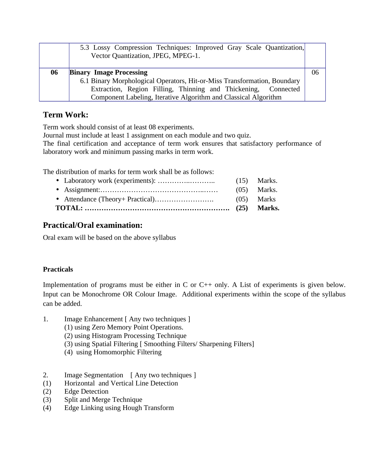|    | 5.3 Lossy Compression Techniques: Improved Gray Scale Quantization,<br>Vector Quantization, JPEG, MPEG-1. |    |
|----|-----------------------------------------------------------------------------------------------------------|----|
| 06 | <b>Binary Image Processing</b>                                                                            | 06 |
|    | 6.1 Binary Morphological Operators, Hit-or-Miss Transformation, Boundary                                  |    |
|    | Extraction, Region Filling, Thinning and Thickening, Connected                                            |    |
|    | Component Labeling, Iterative Algorithm and Classical Algorithm                                           |    |

### **Term Work:**

Term work should consist of at least 08 experiments.

Journal must include at least 1 assignment on each module and two quiz.

The final certification and acceptance of term work ensures that satisfactory performance of laboratory work and minimum passing marks in term work.

The distribution of marks for term work shall be as follows:

|  |  | $(05)$ Marks. |
|--|--|---------------|
|  |  |               |
|  |  |               |

# **Practical/Oral examination:**

Oral exam will be based on the above syllabus

### **Practicals**

Implementation of programs must be either in C or C++ only. A List of experiments is given below. Input can be Monochrome OR Colour Image. Additional experiments within the scope of the syllabus can be added.

- 1. Image Enhancement [ Any two techniques ]
	- (1) using Zero Memory Point Operations.
	- (2) using Histogram Processing Technique
	- (3) using Spatial Filtering [ Smoothing Filters/ Sharpening Filters]
	- (4) using Homomorphic Filtering
- 2. Image Segmentation [ Any two techniques ]
- (1) Horizontal and Vertical Line Detection
- (2) Edge Detection
- (3) Split and Merge Technique
- (4) Edge Linking using Hough Transform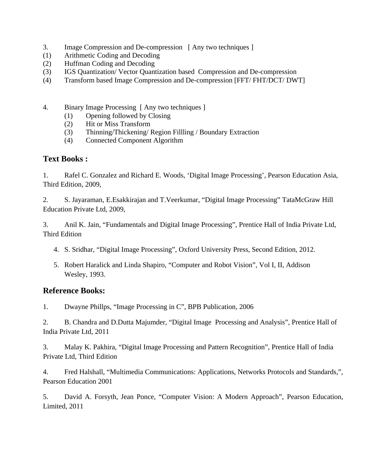- 3. Image Compression and De-compression [ Any two techniques ]
- (1) Arithmetic Coding and Decoding
- (2) Huffman Coding and Decoding
- (3) IGS Quantization/ Vector Quantization based Compression and De-compression
- (4) Transform based Image Compression and De-compression [FFT/ FHT/DCT/ DWT]
- 4. Binary Image Processing [ Any two techniques ]
	- (1) Opening followed by Closing
	- (2) Hit or Miss Transform
	- (3) Thinning/Thickening/ Region Fillling / Boundary Extraction
	- (4) Connected Component Algorithm

### **Text Books :**

1. Rafel C. Gonzalez and Richard E. Woods, 'Digital Image Processing', Pearson Education Asia, Third Edition, 2009,

2. S. Jayaraman, E.Esakkirajan and T.Veerkumar, "Digital Image Processing" TataMcGraw Hill Education Private Ltd, 2009,

3. Anil K. Jain, "Fundamentals and Digital Image Processing", Prentice Hall of India Private Ltd, Third Edition

- 4. S. Sridhar, "Digital Image Processing", Oxford University Press, Second Edition, 2012.
- 5. Robert Haralick and Linda Shapiro, "Computer and Robot Vision", Vol I, II, Addison Wesley, 1993.

### **Reference Books:**

1. Dwayne Phillps, "Image Processing in C", BPB Publication, 2006

2. B. Chandra and D.Dutta Majumder, "Digital Image Processing and Analysis", Prentice Hall of India Private Ltd, 2011

3. Malay K. Pakhira, "Digital Image Processing and Pattern Recognition", Prentice Hall of India Private Ltd, Third Edition

4. Fred Halshall, "Multimedia Communications: Applications, Networks Protocols and Standards,", Pearson Education 2001

5. David A. Forsyth, Jean Ponce, "Computer Vision: A Modern Approach", Pearson Education, Limited, 2011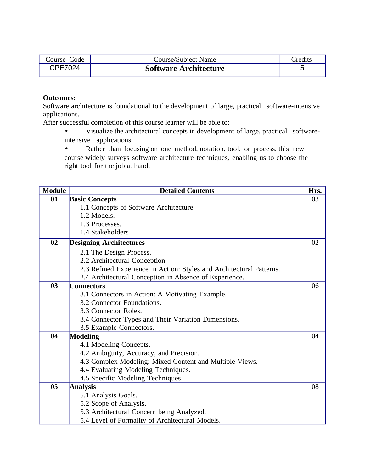| Course Code | <b>Course/Subject Name</b>   | Credits |
|-------------|------------------------------|---------|
| CPF7024     | <b>Software Architecture</b> |         |

#### **Outcomes:**

Software architecture is foundational to the development of large, practical software-intensive applications.

After successful completion of this course learner will be able to:

• Visualize the architectural concepts in development of large, practical softwareintensive applications.

• Rather than focusing on one method, notation, tool, or process, this new course widely surveys software architecture techniques, enabling us to choose the right tool for the job at hand.

| <b>Module</b> | <b>Detailed Contents</b>                                             | Hrs. |
|---------------|----------------------------------------------------------------------|------|
| 01            | <b>Basic Concepts</b>                                                | 03   |
|               | 1.1 Concepts of Software Architecture                                |      |
|               | 1.2 Models.                                                          |      |
|               | 1.3 Processes.                                                       |      |
|               | 1.4 Stakeholders                                                     |      |
| 02            | <b>Designing Architectures</b>                                       | 02   |
|               | 2.1 The Design Process.                                              |      |
|               | 2.2 Architectural Conception.                                        |      |
|               | 2.3 Refined Experience in Action: Styles and Architectural Patterns. |      |
|               | 2.4 Architectural Conception in Absence of Experience.               |      |
| 03            | <b>Connectors</b>                                                    | 06   |
|               | 3.1 Connectors in Action: A Motivating Example.                      |      |
|               | 3.2 Connector Foundations.                                           |      |
|               | 3.3 Connector Roles.                                                 |      |
|               | 3.4 Connector Types and Their Variation Dimensions.                  |      |
|               | 3.5 Example Connectors.                                              |      |
| 04            | <b>Modeling</b>                                                      | 04   |
|               | 4.1 Modeling Concepts.                                               |      |
|               | 4.2 Ambiguity, Accuracy, and Precision.                              |      |
|               | 4.3 Complex Modeling: Mixed Content and Multiple Views.              |      |
|               | 4.4 Evaluating Modeling Techniques.                                  |      |
|               | 4.5 Specific Modeling Techniques.                                    |      |
| 05            | <b>Analysis</b>                                                      | 08   |
|               | 5.1 Analysis Goals.                                                  |      |
|               | 5.2 Scope of Analysis.                                               |      |
|               | 5.3 Architectural Concern being Analyzed.                            |      |
|               | 5.4 Level of Formality of Architectural Models.                      |      |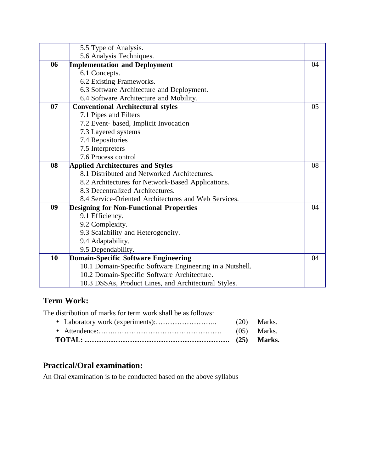|    | 5.5 Type of Analysis.                                    |    |
|----|----------------------------------------------------------|----|
|    | 5.6 Analysis Techniques.                                 |    |
| 06 | <b>Implementation and Deployment</b>                     | 04 |
|    | 6.1 Concepts.                                            |    |
|    | 6.2 Existing Frameworks.                                 |    |
|    | 6.3 Software Architecture and Deployment.                |    |
|    | 6.4 Software Architecture and Mobility.                  |    |
| 07 | <b>Conventional Architectural styles</b>                 | 05 |
|    | 7.1 Pipes and Filters                                    |    |
|    | 7.2 Event- based, Implicit Invocation                    |    |
|    | 7.3 Layered systems                                      |    |
|    | 7.4 Repositories                                         |    |
|    | 7.5 Interpreters                                         |    |
|    | 7.6 Process control                                      |    |
| 08 | <b>Applied Architectures and Styles</b>                  | 08 |
|    | 8.1 Distributed and Networked Architectures.             |    |
|    | 8.2 Architectures for Network-Based Applications.        |    |
|    | 8.3 Decentralized Architectures.                         |    |
|    | 8.4 Service-Oriented Architectures and Web Services.     |    |
| 09 | <b>Designing for Non-Functional Properties</b>           | 04 |
|    | 9.1 Efficiency.                                          |    |
|    | 9.2 Complexity.                                          |    |
|    | 9.3 Scalability and Heterogeneity.                       |    |
|    | 9.4 Adaptability.                                        |    |
|    | 9.5 Dependability.                                       |    |
| 10 | <b>Domain-Specific Software Engineering</b>              | 04 |
|    | 10.1 Domain-Specific Software Engineering in a Nutshell. |    |
|    | 10.2 Domain-Specific Software Architecture.              |    |
|    | 10.3 DSSAs, Product Lines, and Architectural Styles.     |    |

# **Term Work:**

The distribution of marks for term work shall be as follows: • Laboratory work (experiments):…………………….. (20) Marks.

• Attendence:…….……………………………………… (05) Marks. **TOTAL: ……………………………………………………. (25) Marks.**

# **Practical/Oral examination:**

An Oral examination is to be conducted based on the above syllabus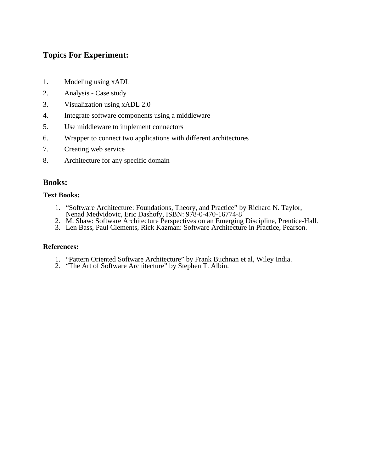## **Topics For Experiment:**

- 1. Modeling using xADL
- 2. Analysis Case study
- 3. Visualization using xADL 2.0
- 4. Integrate software components using a middleware
- 5. Use middleware to implement connectors
- 6. Wrapper to connect two applications with different architectures
- 7. Creating web service
- 8. Architecture for any specific domain

### **Books:**

### **Text Books:**

- 1. "Software Architecture: Foundations, Theory, and Practice" by Richard N. Taylor, Nenad Medvidovic, Eric Dashofy, ISBN: 978-0-470-16774-8
- 2. M. Shaw: Software Architecture Perspectives on an Emerging Discipline, Prentice-Hall.
- 3. Len Bass, Paul Clements, Rick Kazman: Software Architecture in Practice, Pearson.

#### **References:**

- 1. "Pattern Oriented Software Architecture" by Frank Buchnan et al, Wiley India.
- 2. "The Art of Software Architecture" by Stephen T. Albin.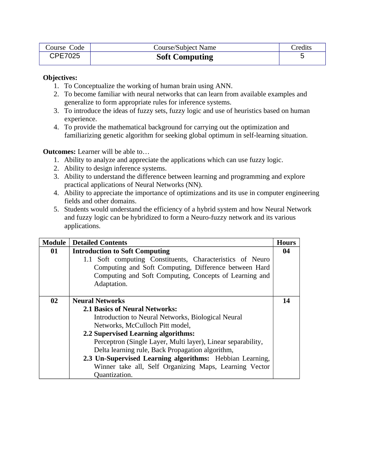| Course Code    | <b>Course/Subject Name</b> | Credits |
|----------------|----------------------------|---------|
| <b>CPE7025</b> | <b>Soft Computing</b>      |         |

#### **Objectives:**

- 1. To Conceptualize the working of human brain using ANN.
- 2. To become familiar with neural networks that can learn from available examples and generalize to form appropriate rules for inference systems.
- 3. To introduce the ideas of fuzzy sets, fuzzy logic and use of heuristics based on human experience.
- 4. To provide the mathematical background for carrying out the optimization and familiarizing genetic algorithm for seeking global optimum in self-learning situation.

**Outcomes:** Learner will be able to…

- 1. Ability to analyze and appreciate the applications which can use fuzzy logic.
- 2. Ability to design inference systems.
- 3. Ability to understand the difference between learning and programming and explore practical applications of Neural Networks (NN).
- 4. Ability to appreciate the importance of optimizations and its use in computer engineering fields and other domains.
- 5. Students would understand the efficiency of a hybrid system and how Neural Network and fuzzy logic can be hybridized to form a Neuro-fuzzy network and its various applications.

| Module | <b>Detailed Contents</b>                                     | <b>Hours</b> |
|--------|--------------------------------------------------------------|--------------|
| 01     | <b>Introduction to Soft Computing</b>                        | 04           |
|        | 1.1 Soft computing Constituents, Characteristics of Neuro    |              |
|        | Computing and Soft Computing, Difference between Hard        |              |
|        | Computing and Soft Computing, Concepts of Learning and       |              |
|        | Adaptation.                                                  |              |
|        |                                                              |              |
| 02     | <b>Neural Networks</b>                                       | 14           |
|        | <b>2.1 Basics of Neural Networks:</b>                        |              |
|        | Introduction to Neural Networks, Biological Neural           |              |
|        | Networks, McCulloch Pitt model,                              |              |
|        | 2.2 Supervised Learning algorithms:                          |              |
|        | Perceptron (Single Layer, Multi layer), Linear separability, |              |
|        | Delta learning rule, Back Propagation algorithm,             |              |
|        | 2.3 Un-Supervised Learning algorithms: Hebbian Learning,     |              |
|        | Winner take all, Self Organizing Maps, Learning Vector       |              |
|        | Quantization.                                                |              |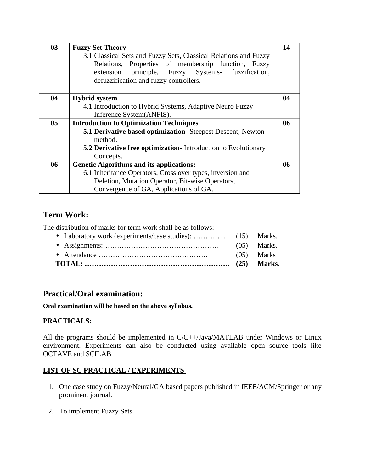| 03 | <b>Fuzzy Set Theory</b>                                          | 14 |
|----|------------------------------------------------------------------|----|
|    | 3.1 Classical Sets and Fuzzy Sets, Classical Relations and Fuzzy |    |
|    | Relations, Properties of membership function, Fuzzy              |    |
|    | extension principle, Fuzzy Systems- fuzzification,               |    |
|    | defuzzification and fuzzy controllers.                           |    |
|    |                                                                  |    |
| 04 | <b>Hybrid system</b>                                             | 04 |
|    | 4.1 Introduction to Hybrid Systems, Adaptive Neuro Fuzzy         |    |
|    | Inference System(ANFIS).                                         |    |
| 05 | <b>Introduction to Optimization Techniques</b>                   | 06 |
|    | 5.1 Derivative based optimization- Steepest Descent, Newton      |    |
|    | method.                                                          |    |
|    | 5.2 Derivative free optimization- Introduction to Evolutionary   |    |
|    | Concepts.                                                        |    |
| 06 | <b>Genetic Algorithms and its applications:</b>                  | 06 |
|    | 6.1 Inheritance Operators, Cross over types, inversion and       |    |
|    | Deletion, Mutation Operator, Bit-wise Operators,                 |    |
|    | Convergence of GA, Applications of GA.                           |    |

# **Term Work:**

The distribution of marks for term work shall be as follows:

# **Practical/Oral examination:**

**Oral examination will be based on the above syllabus.**

### **PRACTICALS:**

All the programs should be implemented in C/C++/Java/MATLAB under Windows or Linux environment. Experiments can also be conducted using available open source tools like OCTAVE and SCILAB

### **LIST OF SC PRACTICAL / EXPERIMENTS**

- 1. One case study on Fuzzy/Neural/GA based papers published in IEEE/ACM/Springer or any prominent journal.
- 2. To implement Fuzzy Sets.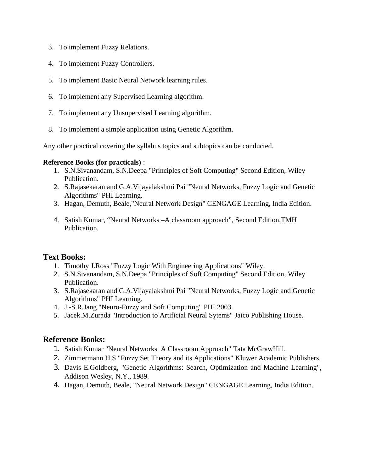- 3. To implement Fuzzy Relations.
- 4. To implement Fuzzy Controllers.
- 5. To implement Basic Neural Network learning rules.
- 6. To implement any Supervised Learning algorithm.
- 7. To implement any Unsupervised Learning algorithm.
- 8. To implement a simple application using Genetic Algorithm.

Any other practical covering the syllabus topics and subtopics can be conducted.

### **Reference Books (for practicals)** :

- 1. S.N.Sivanandam, S.N.Deepa "Principles of Soft Computing" Second Edition, Wiley Publication.
- 2. S.Rajasekaran and G.A.Vijayalakshmi Pai "Neural Networks, Fuzzy Logic and Genetic Algorithms" PHI Learning.
- 3. Hagan, Demuth, Beale,"Neural Network Design" CENGAGE Learning, India Edition.
- 4. Satish Kumar, "Neural Networks –A classroom approach", Second Edition,TMH Publication.

### **Text Books:**

- 1. Timothy J.Ross "Fuzzy Logic With Engineering Applications" Wiley.
- 2. S.N.Sivanandam, S.N.Deepa "Principles of Soft Computing" Second Edition, Wiley Publication.
- 3. S.Rajasekaran and G.A.Vijayalakshmi Pai "Neural Networks, Fuzzy Logic and Genetic Algorithms" PHI Learning.
- 4. J.-S.R.Jang "Neuro-Fuzzy and Soft Computing" PHI 2003.
- 5. Jacek.M.Zurada "Introduction to Artificial Neural Sytems" Jaico Publishing House.

### **Reference Books:**

- 1. Satish Kumar "Neural Networks A Classroom Approach" Tata McGrawHill.
- 2. Zimmermann H.S "Fuzzy Set Theory and its Applications" Kluwer Academic Publishers.
- 3. Davis E.Goldberg, "Genetic Algorithms: Search, Optimization and Machine Learning", Addison Wesley, N.Y., 1989.
- 4. Hagan, Demuth, Beale, "Neural Network Design" CENGAGE Learning, India Edition.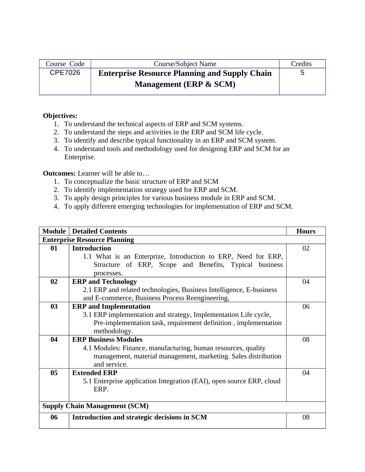| Course Code    | Course/Subject Name                                  | <b>Credits</b> |
|----------------|------------------------------------------------------|----------------|
| <b>CPE7026</b> | <b>Enterprise Resource Planning and Supply Chain</b> | ∽              |
|                | Management (ERP & SCM)                               |                |

#### **Objectives:**

- 1. To understand the technical aspects of ERP and SCM systems.
- 2. To understand the steps and activities in the ERP and SCM life cycle.
- 3. To identify and describe typical functionality in an ERP and SCM system.
- 4. To understand tools and methodology used for designing ERP and SCM for an Enterprise.

#### **Outcomes:** Learner will be able to…

- 1. To conceptualize the basic structure of ERP and SCM
- 2. To identify implementation strategy used for ERP and SCM.
- 3. To apply design principles for various business module in ERP and SCM.
- 4. To apply different emerging technologies for implementation of ERP and SCM.

|    | <b>Module   Detailed Contents</b>                                    | <b>Hours</b>   |  |  |
|----|----------------------------------------------------------------------|----------------|--|--|
|    | <b>Enterprise Resource Planning</b>                                  |                |  |  |
| 01 | <b>Introduction</b>                                                  | 0 <sub>2</sub> |  |  |
|    | 1.1 What is an Enterprize, Introduction to ERP, Need for ERP,        |                |  |  |
|    | Structure of ERP, Scope and Benefits, Typical business               |                |  |  |
|    | processes.                                                           |                |  |  |
| 02 | <b>ERP</b> and <b>Technology</b>                                     | 04             |  |  |
|    | 2.1 ERP and related technologies, Business Intelligence, E-business  |                |  |  |
|    | and E-commerce, Business Process Reengineering,                      |                |  |  |
| 03 | <b>ERP</b> and Implementation                                        | 06             |  |  |
|    | 3.1 ERP implementation and strategy, Implementation Life cycle,      |                |  |  |
|    | Pre-implementation task, requirement definition, implementation      |                |  |  |
|    | methodology.                                                         |                |  |  |
| 04 | <b>ERP Business Modules</b>                                          | 08             |  |  |
|    | 4.1 Modules: Finance, manufacturing, human resources, quality        |                |  |  |
|    | management, material management, marketing. Sales distribution       |                |  |  |
|    | and service.                                                         |                |  |  |
| 05 | <b>Extended ERP</b>                                                  | 04             |  |  |
|    | 5.1 Enterprise application Integration (EAI), open source ERP, cloud |                |  |  |
|    | ERP.                                                                 |                |  |  |
|    |                                                                      |                |  |  |
|    | <b>Supply Chain Management (SCM)</b>                                 |                |  |  |
| 06 | Introduction and strategic decisions in SCM                          | 08             |  |  |
|    |                                                                      |                |  |  |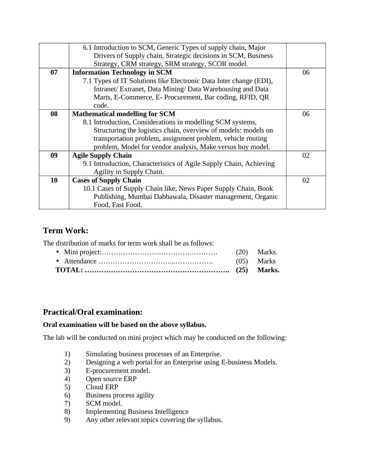|    | 6.1 Introduction to SCM, Generic Types of supply chain, Major      |    |
|----|--------------------------------------------------------------------|----|
|    | Drivers of Supply chain, Strategic decisions in SCM, Business      |    |
|    | Strategy, CRM strategy, SRM strategy, SCOR model.                  |    |
| 07 | <b>Information Technology in SCM</b>                               | 06 |
|    | 7.1 Types of IT Solutions like Electronic Data Inter change (EDI), |    |
|    | Intranet/ Extranet, Data Mining/ Data Warehousing and Data         |    |
|    | Marts, E-Commerce, E- Procurement, Bar coding, RFID, QR            |    |
|    | code.                                                              |    |
| 08 | <b>Mathematical modelling for SCM</b>                              | 06 |
|    | 8.1 Introduction, Considerations in modelling SCM systems,         |    |
|    | Structuring the logistics chain, overview of models: models on     |    |
|    | transportation problem, assignment problem, vehicle routing        |    |
|    | problem, Model for vendor analysis, Make versus buy model.         |    |
| 09 | <b>Agile Supply Chain</b>                                          | 02 |
|    | 9.1 Introduction, Characteristics of Agile Supply Chain, Achieving |    |
|    | Agility in Supply Chain.                                           |    |
| 10 | <b>Cases of Supply Chain</b>                                       | 02 |
|    | 10.1 Cases of Supply Chain like, News Paper Supply Chain, Book     |    |
|    | Publishing, Mumbai Dabbawala, Disaster management, Organic         |    |
|    | Food, Fast Food.                                                   |    |

### **Term Work:**

The distribution of marks for term work shall be as follows:

|  | (20) Marks. |
|--|-------------|
|  |             |

# **Practical/Oral examination:**

### **Oral examination will be based on the above syllabus.**

The lab will be conducted on mini project which may be conducted on the following:

- 1) Simulating business processes of an Enterprise.<br>2) Designing a web portal for an Enterprise using I
- Designing a web portal for an Enterprise using E-business Models.
- 3) E-procurement model.
- 4) Open source ERP
- 5) Cloud ERP<br>6) Business pr
- Business process agility
- 7) SCM model.
- 8) Implementing Business Intelligence
- 9) Any other relevant topics covering the syllabus.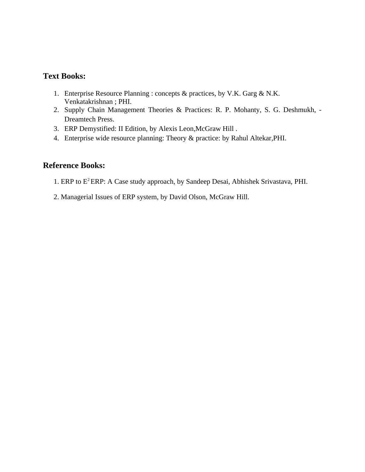### **Text Books:**

- 1. Enterprise Resource Planning : concepts & practices, by V.K. Garg & N.K. Venkatakrishnan ; PHI.
- 2. Supply Chain Management Theories & Practices: R. P. Mohanty, S. G. Deshmukh, Dreamtech Press.
- 3. ERP Demystified: II Edition, by Alexis Leon,McGraw Hill .
- 4. Enterprise wide resource planning: Theory & practice: by Rahul Altekar,PHI.

### **Reference Books:**

- 1. ERP to E<sup>2</sup>ERP: A Case study approach, by Sandeep Desai, Abhishek Srivastava, PHI.
- 2. Managerial Issues of ERP system, by David Olson, McGraw Hill.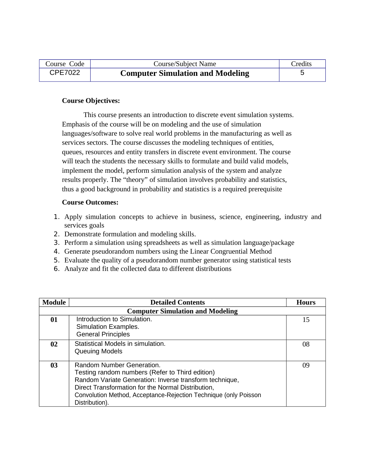| Course Code    | Course/Subject Name                     | Credits |
|----------------|-----------------------------------------|---------|
| <b>CPE7022</b> | <b>Computer Simulation and Modeling</b> |         |

#### **Course Objectives:**

This course presents an introduction to discrete event simulation systems. Emphasis of the course will be on modeling and the use of simulation languages/software to solve real world problems in the manufacturing as well as services sectors. The course discusses the modeling techniques of entities, queues, resources and entity transfers in discrete event environment. The course will teach the students the necessary skills to formulate and build valid models, implement the model, perform simulation analysis of the system and analyze results properly. The "theory" of simulation involves probability and statistics, thus a good background in probability and statistics is a required prerequisite

#### **Course Outcomes:**

- 1. Apply simulation concepts to achieve in business, science, engineering, industry and services goals
- 2. Demonstrate formulation and modeling skills.
- 3. Perform a simulation using spreadsheets as well as simulation language/package
- 4. Generate pseudorandom numbers using the Linear Congruential Method
- 5. Evaluate the quality of a pseudorandom number generator using statistical tests
- 6. Analyze and fit the collected data to different distributions

| Module                                  | <b>Detailed Contents</b>                                                                                                                                                                                                                                                            | <b>Hours</b> |
|-----------------------------------------|-------------------------------------------------------------------------------------------------------------------------------------------------------------------------------------------------------------------------------------------------------------------------------------|--------------|
| <b>Computer Simulation and Modeling</b> |                                                                                                                                                                                                                                                                                     |              |
| 01                                      | Introduction to Simulation.<br>Simulation Examples.<br><b>General Principles</b>                                                                                                                                                                                                    | 15           |
| 02 <sub>2</sub>                         | Statistical Models in simulation.<br>Queuing Models                                                                                                                                                                                                                                 | 08           |
| 03                                      | Random Number Generation.<br>Testing random numbers (Refer to Third edition)<br>Random Variate Generation: Inverse transform technique,<br>Direct Transformation for the Normal Distribution,<br>Convolution Method, Acceptance-Rejection Technique (only Poisson<br>Distribution). | 09           |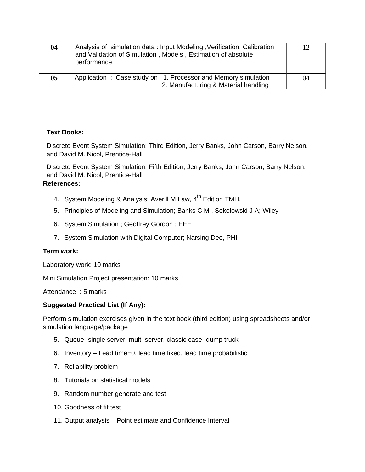| 04 | Analysis of simulation data: Input Modeling, Verification, Calibration<br>and Validation of Simulation, Models, Estimation of absolute<br>performance. | 12 |
|----|--------------------------------------------------------------------------------------------------------------------------------------------------------|----|
| 05 | Application: Case study on 1. Processor and Memory simulation<br>2. Manufacturing & Material handling                                                  | 04 |

#### **Text Books:**

Discrete Event System Simulation; Third Edition, Jerry Banks, John Carson, Barry Nelson, and David M. Nicol, Prentice-Hall

Discrete Event System Simulation; Fifth Edition, Jerry Banks, John Carson, Barry Nelson, and David M. Nicol, Prentice-Hall

# **References:**

- 4. System Modeling & Analysis; Averill M Law,  $4^{\text{th}}$  Edition TMH.
- 5. Principles of Modeling and Simulation; Banks C M , Sokolowski J A; Wiley
- 6. System Simulation ; Geoffrey Gordon ; EEE
- 7. System Simulation with Digital Computer; Narsing Deo, PHI

#### **Term work:**

Laboratory work: 10 marks

Mini Simulation Project presentation: 10 marks

Attendance : 5 marks

### **Suggested Practical List (If Any):**

Perform simulation exercises given in the text book (third edition) using spreadsheets and/or simulation language/package

- 5. Queue- single server, multi-server, classic case- dump truck
- 6. Inventory Lead time=0, lead time fixed, lead time probabilistic
- 7. Reliability problem
- 8. Tutorials on statistical models
- 9. Random number generate and test
- 10. Goodness of fit test
- 11. Output analysis Point estimate and Confidence Interval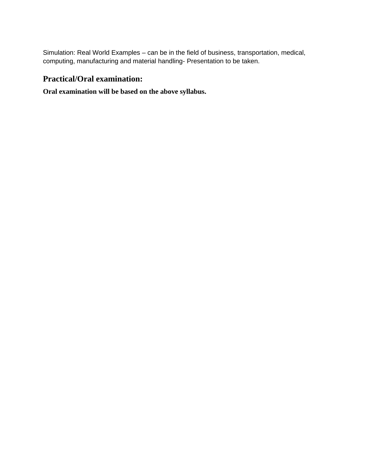Simulation: Real World Examples – can be in the field of business, transportation, medical, computing, manufacturing and material handling- Presentation to be taken.

### **Practical/Oral examination:**

### **Oral examination will be based on the above syllabus.**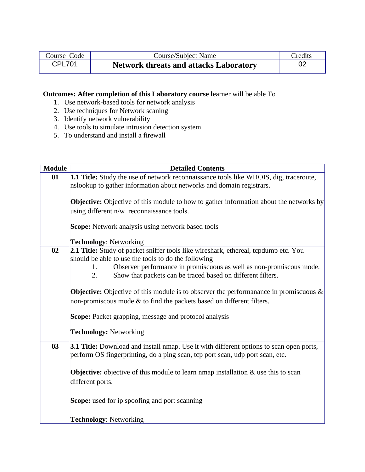| Course Code | <b>Course/Subject Name</b>                    | Credits |
|-------------|-----------------------------------------------|---------|
| CPL701      | <b>Network threats and attacks Laboratory</b> |         |

### **Outcomes: After completion of this Laboratory course l**earner will be able To

- 1. Use network-based tools for network analysis
- 2. Use techniques for Network scaning
- 3. Identify network vulnerability
- 4. Use tools to simulate intrusion detection system
- 5. To understand and install a firewall

| <b>Module</b> | <b>Detailed Contents</b>                                                                                                                                                 |
|---------------|--------------------------------------------------------------------------------------------------------------------------------------------------------------------------|
| 01            | 1.1 Title: Study the use of network reconnaissance tools like WHOIS, dig, traceroute,                                                                                    |
|               | nslookup to gather information about networks and domain registrars.                                                                                                     |
|               |                                                                                                                                                                          |
|               | <b>Objective:</b> Objective of this module to how to gather information about the networks by                                                                            |
|               | using different n/w reconnaissance tools.                                                                                                                                |
|               | <b>Scope:</b> Network analysis using network based tools                                                                                                                 |
|               | <b>Technology: Networking</b>                                                                                                                                            |
| 02            | 2.1 Title: Study of packet sniffer tools like wireshark, ethereal, tcpdump etc. You                                                                                      |
|               | should be able to use the tools to do the following                                                                                                                      |
|               | Observer performance in promiscuous as well as non-promiscous mode.<br>1.                                                                                                |
|               | Show that packets can be traced based on different filters.<br>2.                                                                                                        |
|               | <b>Objective:</b> Objective of this module is to observer the performanance in promiscuous &                                                                             |
|               | non-promiscous mode & to find the packets based on different filters.                                                                                                    |
|               |                                                                                                                                                                          |
|               | <b>Scope:</b> Packet grapping, message and protocol analysis                                                                                                             |
|               | <b>Technology: Networking</b>                                                                                                                                            |
| 03            |                                                                                                                                                                          |
|               | 3.1 Title: Download and install nmap. Use it with different options to scan open ports,<br>perform OS fingerprinting, do a ping scan, tcp port scan, udp port scan, etc. |
|               |                                                                                                                                                                          |
|               | <b>Objective:</b> objective of this module to learn nmap installation & use this to scan                                                                                 |
|               | different ports.                                                                                                                                                         |
|               |                                                                                                                                                                          |
|               | <b>Scope:</b> used for ip spoofing and port scanning                                                                                                                     |
|               |                                                                                                                                                                          |
|               | <b>Technology: Networking</b>                                                                                                                                            |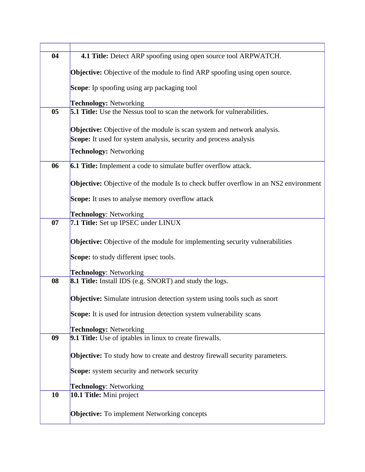| 04 | 4.1 Title: Detect ARP spoofing using open source tool ARPWATCH.                             |
|----|---------------------------------------------------------------------------------------------|
|    | <b>Objective:</b> Objective of the module to find ARP spoofing using open source.           |
|    | <b>Scope:</b> Ip spoofing using arp packaging tool                                          |
|    |                                                                                             |
|    | <b>Technology: Networking</b>                                                               |
| 05 | 5.1 Title: Use the Nessus tool to scan the network for vulnerabilities.                     |
|    | <b>Objective:</b> Objective of the module is scan system and network analysis.              |
|    | Scope: It used for system analysis, security and process analysis                           |
|    | <b>Technology: Networking</b>                                                               |
| 06 | 6.1 Title: Implement a code to simulate buffer overflow attack.                             |
|    | <b>Objective:</b> Objective of the module Is to check buffer overflow in an NS2 environment |
|    | Scope: It uses to analyse memory overflow attack                                            |
|    | <b>Technology: Networking</b>                                                               |
| 07 | 7.1 Title: Set up IPSEC under LINUX                                                         |
|    | <b>Objective:</b> Objective of the module for implementing security vulnerabilities         |
|    | Scope: to study different ipsec tools.                                                      |
|    | <b>Technology: Networking</b>                                                               |
| 08 | 8.1 Title: Install IDS (e.g. SNORT) and study the logs.                                     |
|    | <b>Objective:</b> Simulate intrusion detection system using tools such as snort             |
|    | Scope: It is used for intrusion detection system vulnerability scans                        |
|    | <b>Technology: Networking</b>                                                               |
| 09 | 9.1 Title: Use of iptables in linux to create firewalls.                                    |
|    | <b>Objective:</b> To study how to create and destroy firewall security parameters.          |
|    | <b>Scope:</b> system security and network security                                          |
|    | <b>Technology: Networking</b>                                                               |
| 10 | 10.1 Title: Mini project                                                                    |
|    | <b>Objective:</b> To implement Networking concepts                                          |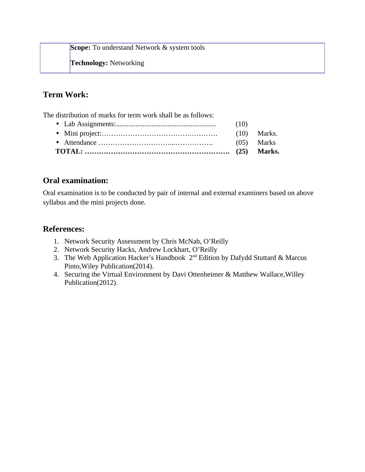**Scope:** To understand Network & system tools

**Technology:** Networking

# **Term Work:**

The distribution of marks for term work shall be as follows:

|  | (05) Marks |
|--|------------|
|  |            |
|  |            |

# **Oral examination:**

Oral examination is to be conducted by pair of internal and external examiners based on above syllabus and the mini projects done.

# **References:**

- 1. Network Security Assessment by Chris McNab, O'Reilly
- 2. Network Security Hacks, Andrew Lockhart, O'Reilly
- 3. The Web Application Hacker's Handbook 2<sup>nd</sup> Edition by Dafydd Stuttard & Marcus Pinto,Wiley Publication(2014).
- 4. Securing the Virtual Environment by Davi Ottenheimer & Matthew Wallace,Willey Publication(2012).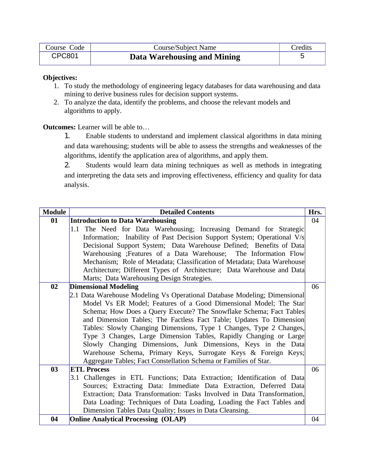| Course Code   | <b>Course/Subject Name</b>  | <b>Credits</b> |
|---------------|-----------------------------|----------------|
| <b>CPC801</b> | Data Warehousing and Mining |                |

- 1. To study the methodology of engineering legacy databases for data warehousing and data mining to derive business rules for decision support systems.
- 2. To analyze the data, identify the problems, and choose the relevant models and algorithms to apply.

**Outcomes:** Learner will be able to…

1. Enable students to understand and implement classical algorithms in data mining and data warehousing; students will be able to assess the strengths and weaknesses of the algorithms, identify the application area of algorithms, and apply them.

2. Students would learn data mining techniques as well as methods in integrating and interpreting the data sets and improving effectiveness, efficiency and quality for data analysis.

| <b>Module</b> | <b>Detailed Contents</b><br>Hrs.                                           |    |
|---------------|----------------------------------------------------------------------------|----|
| 01            | <b>Introduction to Data Warehousing</b>                                    | 04 |
|               | 1.1 The Need for Data Warehousing; Increasing Demand for Strategic         |    |
|               | Information; Inability of Past Decision Support System; Operational V/s    |    |
|               | Decisional Support System; Data Warehouse Defined; Benefits of Data        |    |
|               | Warehousing ; Features of a Data Warehouse; The Information Flow           |    |
|               | Mechanism; Role of Metadata; Classification of Metadata; Data Warehouse    |    |
|               | Architecture; Different Types of Architecture; Data Warehouse and Data     |    |
|               | Marts; Data Warehousing Design Strategies.                                 |    |
| 02            | <b>Dimensional Modeling</b>                                                | 06 |
|               | [2.1 Data Warehouse Modeling Vs Operational Database Modeling; Dimensional |    |
|               | Model Vs ER Model; Features of a Good Dimensional Model; The Star          |    |
|               | Schema; How Does a Query Execute? The Snowflake Schema; Fact Tables        |    |
|               | and Dimension Tables; The Factless Fact Table; Updates To Dimension        |    |
|               | Tables: Slowly Changing Dimensions, Type 1 Changes, Type 2 Changes,        |    |
|               | Type 3 Changes, Large Dimension Tables, Rapidly Changing or Large          |    |
|               | Slowly Changing Dimensions, Junk Dimensions, Keys in the Data              |    |
|               | Warehouse Schema, Primary Keys, Surrogate Keys & Foreign Keys;             |    |
|               | Aggregate Tables; Fact Constellation Schema or Families of Star.           |    |
| 03            | <b>ETL Process</b>                                                         | 06 |
|               | 3.1 Challenges in ETL Functions; Data Extraction; Identification of Data   |    |
|               | Sources; Extracting Data: Immediate Data Extraction, Deferred Data         |    |
|               | Extraction; Data Transformation: Tasks Involved in Data Transformation,    |    |
|               | Data Loading: Techniques of Data Loading, Loading the Fact Tables and      |    |
|               | Dimension Tables Data Quality; Issues in Data Cleansing.                   |    |
| 04            | <b>Online Analytical Processing (OLAP)</b>                                 | 04 |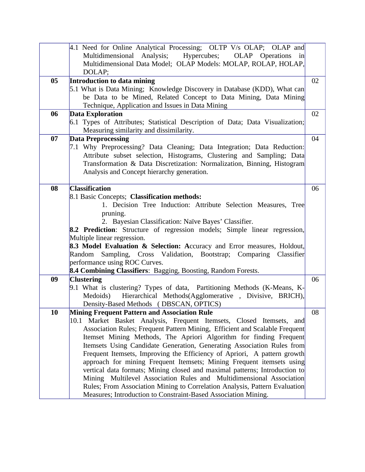|    | 4.1 Need for Online Analytical Processing; OLTP V/s OLAP; OLAP and<br>Multidimensional Analysis;<br>Hypercubes; OLAP Operations<br>in<br>Multidimensional Data Model; OLAP Models: MOLAP, ROLAP, HOLAP,<br>DOLAP;                                                                                                                                                                                                                                                                                                                                                                                                                                                                                                                                                                                                     |    |
|----|-----------------------------------------------------------------------------------------------------------------------------------------------------------------------------------------------------------------------------------------------------------------------------------------------------------------------------------------------------------------------------------------------------------------------------------------------------------------------------------------------------------------------------------------------------------------------------------------------------------------------------------------------------------------------------------------------------------------------------------------------------------------------------------------------------------------------|----|
| 05 | <b>Introduction to data mining</b><br>5.1 What is Data Mining; Knowledge Discovery in Database (KDD), What can<br>be Data to be Mined, Related Concept to Data Mining, Data Mining<br>Technique, Application and Issues in Data Mining                                                                                                                                                                                                                                                                                                                                                                                                                                                                                                                                                                                | 02 |
| 06 | <b>Data Exploration</b><br>6.1 Types of Attributes; Statistical Description of Data; Data Visualization;<br>Measuring similarity and dissimilarity.                                                                                                                                                                                                                                                                                                                                                                                                                                                                                                                                                                                                                                                                   | 02 |
| 07 | <b>Data Preprocessing</b><br>7.1 Why Preprocessing? Data Cleaning; Data Integration; Data Reduction:<br>Attribute subset selection, Histograms, Clustering and Sampling; Data<br>Transformation & Data Discretization: Normalization, Binning, Histogram<br>Analysis and Concept hierarchy generation.                                                                                                                                                                                                                                                                                                                                                                                                                                                                                                                | 04 |
| 08 | <b>Classification</b><br>8.1 Basic Concepts; Classification methods:<br>1. Decision Tree Induction: Attribute Selection Measures, Tree<br>pruning.<br>2. Bayesian Classification: Naïve Bayes' Classifier.<br>8.2 Prediction: Structure of regression models; Simple linear regression,<br>Multiple linear regression.<br>8.3 Model Evaluation & Selection: Accuracy and Error measures, Holdout,<br>Random Sampling, Cross Validation, Bootstrap; Comparing Classifier<br>performance using ROC Curves.<br>8.4 Combining Classifiers: Bagging, Boosting, Random Forests.                                                                                                                                                                                                                                             | 06 |
| 09 | <b>Clustering</b><br>9.1 What is clustering? Types of data, Partitioning Methods (K-Means, K-<br>Hierarchical Methods(Agglomerative, Divisive, BRICH),<br>Medoids)<br>Density-Based Methods (DBSCAN, OPTICS)                                                                                                                                                                                                                                                                                                                                                                                                                                                                                                                                                                                                          | 06 |
| 10 | <b>Mining Frequent Pattern and Association Rule</b><br>10.1 Market Basket Analysis, Frequent Itemsets, Closed Itemsets, and<br>Association Rules; Frequent Pattern Mining, Efficient and Scalable Frequent<br>Itemset Mining Methods, The Apriori Algorithm for finding Frequent<br>Itemsets Using Candidate Generation, Generating Association Rules from<br>Frequent Itemsets, Improving the Efficiency of Apriori, A pattern growth<br>approach for mining Frequent Itemsets; Mining Frequent itemsets using<br>vertical data formats; Mining closed and maximal patterns; Introduction to<br>Mining Multilevel Association Rules and Multidimensional Association<br>Rules; From Association Mining to Correlation Analysis, Pattern Evaluation<br>Measures; Introduction to Constraint-Based Association Mining. | 08 |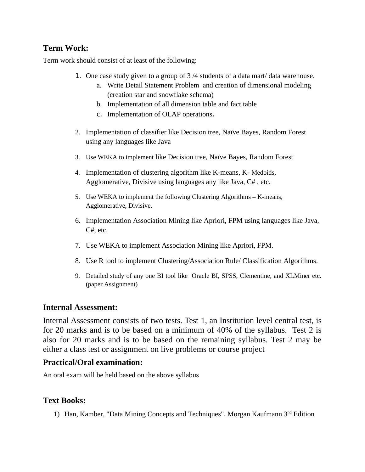Term work should consist of at least of the following:

- 1. One case study given to a group of 3 /4 students of a data mart/ data warehouse.
	- a. Write Detail Statement Problem and creation of dimensional modeling (creation star and snowflake schema)
	- b. Implementation of all dimension table and fact table
	- c. Implementation of OLAP operations.
- 2. Implementation of classifier like Decision tree, Naïve Bayes, Random Forest using any languages like Java
- 3. Use WEKA to implement like Decision tree, Naïve Bayes, Random Forest
- 4. Implementation of clustering algorithm like K-means, K- Medoids, Agglomerative, Divisive using languages any like Java, C# , etc.
- 5. Use WEKA to implement the following Clustering Algorithms K-means, Agglomerative, Divisive.
- 6. Implementation Association Mining like Apriori, FPM using languages like Java, C#, etc.
- 7. Use WEKA to implement Association Mining like Apriori, FPM.
- 8. Use R tool to implement Clustering/Association Rule/ Classification Algorithms.
- 9. Detailed study of any one BI tool like Oracle BI, SPSS, Clementine, and XLMiner etc. (paper Assignment)

## **Internal Assessment:**

Internal Assessment consists of two tests. Test 1, an Institution level central test, is for 20 marks and is to be based on a minimum of 40% of the syllabus. Test 2 is also for 20 marks and is to be based on the remaining syllabus. Test 2 may be either a class test or assignment on live problems or course project

## **Practical/Oral examination:**

An oral exam will be held based on the above syllabus

## **Text Books:**

1) Han, Kamber, "Data Mining Concepts and Techniques", Morgan Kaufmann 3<sup>nd</sup> Edition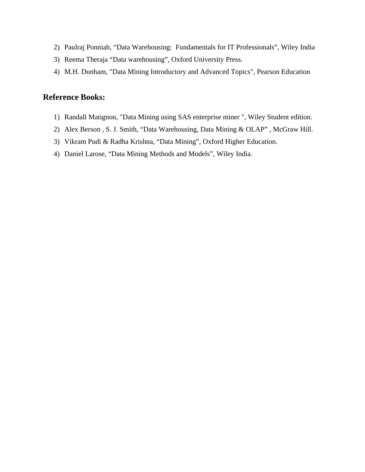- 2) Paulraj Ponniah, "Data Warehousing: Fundamentals for IT Professionals", Wiley India
- 3) Reema Theraja "Data warehousing", Oxford University Press.
- 4) M.H. Dunham, "Data Mining Introductory and Advanced Topics", Pearson Education

# **Reference Books:**

- 1) Randall Matignon, "Data Mining using SAS enterprise miner ", Wiley Student edition.
- 2) Alex Berson , S. J. Smith, "Data Warehousing, Data Mining & OLAP" , McGraw Hill.
- 3) Vikram Pudi & Radha Krishna, "Data Mining", Oxford Higher Education.
- 4) Daniel Larose, "Data Mining Methods and Models", Wiley India.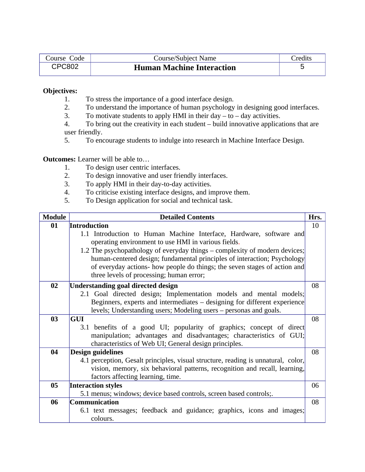| Course Code   | <b>Course/Subject Name</b>       | <sup>-</sup> redits |
|---------------|----------------------------------|---------------------|
| <b>CPC802</b> | <b>Human Machine Interaction</b> |                     |

- 1. To stress the importance of a good interface design.
- 2. To understand the importance of human psychology in designing good interfaces.
- 3. To motivate students to apply HMI in their day  $-$  to  $-$  day activities.
- 4. To bring out the creativity in each student build innovative applications that are user friendly.
- 5. To encourage students to indulge into research in Machine Interface Design.

#### **Outcomes:** Learner will be able to…

- 1. To design user centric interfaces.
- 2. To design innovative and user friendly interfaces.
- 3. To apply HMI in their day-to-day activities.
- 4. To criticise existing interface designs, and improve them.
- 5. To Design application for social and technical task.

| <b>Module</b> | <b>Detailed Contents</b>                                                          | Hrs. |
|---------------|-----------------------------------------------------------------------------------|------|
| 01            | Introduction                                                                      | 10   |
|               | 1.1 Introduction to Human Machine Interface, Hardware, software and               |      |
|               | operating environment to use HMI in various fields.                               |      |
|               | 1.2 The psychopathology of everyday things – complexity of modern devices;        |      |
|               | human-centered design; fundamental principles of interaction; Psychology          |      |
|               | of everyday actions- how people do things; the seven stages of action and         |      |
|               | three levels of processing; human error;                                          |      |
| 02            | <b>Understanding goal directed design</b>                                         | 08   |
|               | 2.1 Goal directed design; Implementation models and mental models;                |      |
|               | Beginners, experts and intermediates – designing for different experience         |      |
|               | levels; Understanding users; Modeling users – personas and goals.                 |      |
| 03            | <b>GUI</b>                                                                        | 08   |
|               | 3.1 benefits of a good UI; popularity of graphics; concept of direct              |      |
|               | manipulation; advantages and disadvantages; characteristics of GUI;               |      |
|               | characteristics of Web UI; General design principles.                             |      |
| 04            | Design guidelines                                                                 | 08   |
|               | 4.1 perception, Gesalt principles, visual structure, reading is unnatural, color, |      |
|               | vision, memory, six behavioral patterns, recognition and recall, learning,        |      |
|               | factors affecting learning, time.                                                 |      |
| 05            | <b>Interaction styles</b>                                                         | 06   |
|               | 5.1 menus; windows; device based controls, screen based controls;.                |      |
| 06            | <b>Communication</b>                                                              | 08   |
|               | 6.1 text messages; feedback and guidance; graphics, icons and images;             |      |
|               | colours.                                                                          |      |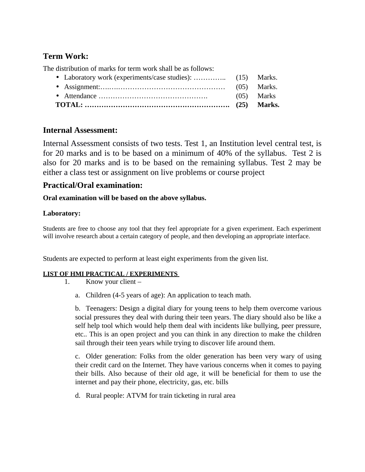The distribution of marks for term work shall be as follows:

- Laboratory work (experiments/case studies): ............... (15) Marks. • Assignment:….….……………………………………… (05) Marks.
- Attendance ………………………………………. (05) Marks
- **TOTAL: ……………………………………………………. (25) Marks.**

## **Internal Assessment:**

Internal Assessment consists of two tests. Test 1, an Institution level central test, is for 20 marks and is to be based on a minimum of 40% of the syllabus. Test 2 is also for 20 marks and is to be based on the remaining syllabus. Test 2 may be either a class test or assignment on live problems or course project

## **Practical/Oral examination:**

### **Oral examination will be based on the above syllabus.**

### **Laboratory:**

Students are free to choose any tool that they feel appropriate for a given experiment. Each experiment will involve research about a certain category of people, and then developing an appropriate interface.

Students are expected to perform at least eight experiments from the given list.

### **LIST OF HMI PRACTICAL / EXPERIMENTS**

- 1. Know your client
	- a. Children (4-5 years of age): An application to teach math.

b. Teenagers: Design a digital diary for young teens to help them overcome various social pressures they deal with during their teen years. The diary should also be like a self help tool which would help them deal with incidents like bullying, peer pressure, etc.. This is an open project and you can think in any direction to make the children sail through their teen years while trying to discover life around them.

c. Older generation: Folks from the older generation has been very wary of using their credit card on the Internet. They have various concerns when it comes to paying their bills. Also because of their old age, it will be beneficial for them to use the internet and pay their phone, electricity, gas, etc. bills

d. Rural people: ATVM for train ticketing in rural area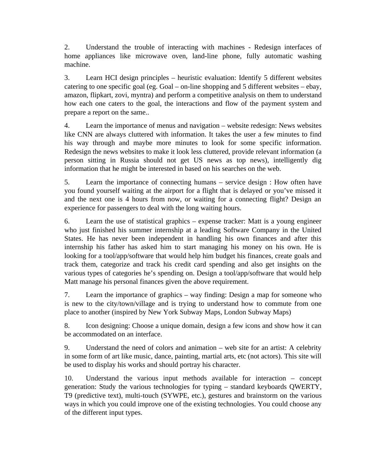2. Understand the trouble of interacting with machines - Redesign interfaces of home appliances like microwave oven, land-line phone, fully automatic washing machine.

3. Learn HCI design principles – heuristic evaluation: Identify 5 different websites catering to one specific goal (eg. Goal – on-line shopping and 5 different websites – ebay, amazon, flipkart, zovi, myntra) and perform a competitive analysis on them to understand how each one caters to the goal, the interactions and flow of the payment system and prepare a report on the same..

4. Learn the importance of menus and navigation – website redesign: News websites like CNN are always cluttered with information. It takes the user a few minutes to find his way through and maybe more minutes to look for some specific information. Redesign the news websites to make it look less cluttered, provide relevant information (a person sitting in Russia should not get US news as top news), intelligently dig information that he might be interested in based on his searches on the web.

5. Learn the importance of connecting humans – service design : How often have you found yourself waiting at the airport for a flight that is delayed or you've missed it and the next one is 4 hours from now, or waiting for a connecting flight? Design an experience for passengers to deal with the long waiting hours.

6. Learn the use of statistical graphics – expense tracker: Matt is a young engineer who just finished his summer internship at a leading Software Company in the United States. He has never been independent in handling his own finances and after this internship his father has asked him to start managing his money on his own. He is looking for a tool/app/software that would help him budget his finances, create goals and track them, categorize and track his credit card spending and also get insights on the various types of categories he's spending on. Design a tool/app/software that would help Matt manage his personal finances given the above requirement.

7. Learn the importance of graphics – way finding: Design a map for someone who is new to the city/town/village and is trying to understand how to commute from one place to another (inspired by New York Subway Maps, London Subway Maps)

8. Icon designing: Choose a unique domain, design a few icons and show how it can be accommodated on an interface.

9. Understand the need of colors and animation – web site for an artist: A celebrity in some form of art like music, dance, painting, martial arts, etc (not actors). This site will be used to display his works and should portray his character.

10. Understand the various input methods available for interaction – concept generation: Study the various technologies for typing – standard keyboards QWERTY, T9 (predictive text), multi-touch (SYWPE, etc.), gestures and brainstorm on the various ways in which you could improve one of the existing technologies. You could choose any of the different input types.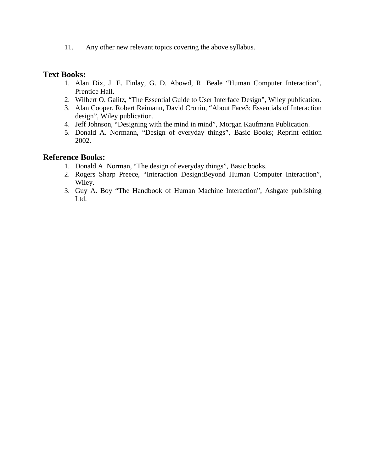11. Any other new relevant topics covering the above syllabus.

### **Text Books:**

- 1. Alan Dix, J. E. Finlay, G. D. Abowd, R. Beale "Human Computer Interaction", Prentice Hall.
- 2. Wilbert O. Galitz, "The Essential Guide to User Interface Design", Wiley publication.
- 3. Alan Cooper, Robert Reimann, David Cronin, "About Face3: Essentials of Interaction design", Wiley publication.
- 4. Jeff Johnson, "Designing with the mind in mind", Morgan Kaufmann Publication.
- 5. Donald A. Normann, "Design of everyday things", Basic Books; Reprint edition 2002.

### **Reference Books:**

- 1. Donald A. Norman, "The design of everyday things", Basic books.
- 2. Rogers Sharp Preece, "Interaction Design:Beyond Human Computer Interaction", Wiley.
- 3. Guy A. Boy "The Handbook of Human Machine Interaction", Ashgate publishing Ltd.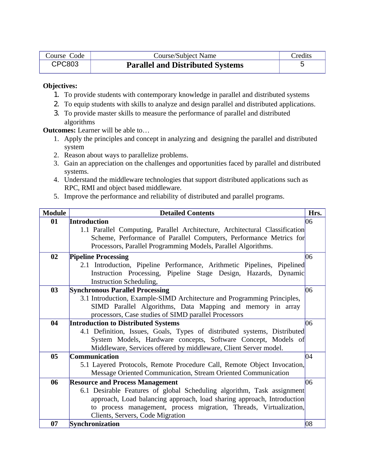| Course Code   | Course/Subject Name                     | Credits |
|---------------|-----------------------------------------|---------|
| <b>CPC803</b> | <b>Parallel and Distributed Systems</b> |         |

- 1. To provide students with contemporary knowledge in parallel and distributed systems
- 2. To equip students with skills to analyze and design parallel and distributed applications.
- 3. To provide master skills to measure the performance of parallel and distributed algorithms

**Outcomes:** Learner will be able to…

- 1. Apply the principles and concept in analyzing and designing the parallel and distributed system
- 2. Reason about ways to parallelize problems.
- 3. Gain an appreciation on the challenges and opportunities faced by parallel and distributed systems.
- 4. Understand the middleware technologies that support distributed applications such as RPC, RMI and object based middleware.
- 5. Improve the performance and reliability of distributed and parallel programs.

| <b>Module</b> | <b>Detailed Contents</b>                                                    | Hrs. |
|---------------|-----------------------------------------------------------------------------|------|
| 01            | Introduction                                                                | 06   |
|               | 1.1 Parallel Computing, Parallel Architecture, Architectural Classification |      |
|               | Scheme, Performance of Parallel Computers, Performance Metrics for          |      |
|               | Processors, Parallel Programming Models, Parallel Algorithms.               |      |
| 02            | <b>Pipeline Processing</b>                                                  | 06   |
|               | 2.1 Introduction, Pipeline Performance, Arithmetic Pipelines, Pipelined     |      |
|               | Instruction Processing, Pipeline Stage Design, Hazards, Dynamic             |      |
|               | <b>Instruction Scheduling,</b>                                              |      |
| 03            | <b>Synchronous Parallel Processing</b>                                      | 06   |
|               | 3.1 Introduction, Example-SIMD Architecture and Programming Principles,     |      |
|               | SIMD Parallel Algorithms, Data Mapping and memory in array                  |      |
|               | processors, Case studies of SIMD parallel Processors                        |      |
| 04            | <b>Introduction to Distributed Systems</b>                                  | 06   |
|               | 4.1 Definition, Issues, Goals, Types of distributed systems, Distributed    |      |
|               | System Models, Hardware concepts, Software Concept, Models of               |      |
|               | Middleware, Services offered by middleware, Client Server model.            |      |
| 05            | <b>Communication</b>                                                        | 04   |
|               | 5.1 Layered Protocols, Remote Procedure Call, Remote Object Invocation,     |      |
|               | Message Oriented Communication, Stream Oriented Communication               |      |
| 06            | <b>Resource and Process Management</b>                                      | 06   |
|               | 6.1 Desirable Features of global Scheduling algorithm, Task assignment      |      |
|               | approach, Load balancing approach, load sharing approach, Introduction      |      |
|               | to process management, process migration, Threads, Virtualization,          |      |
|               | Clients, Servers, Code Migration                                            |      |
| 07            | Synchronization                                                             | 08   |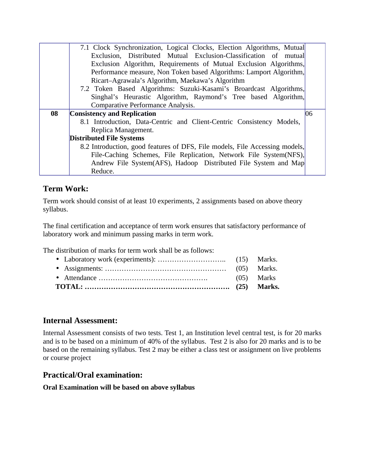|    | 7.1 Clock Synchronization, Logical Clocks, Election Algorithms, Mutual      |    |
|----|-----------------------------------------------------------------------------|----|
|    | Exclusion, Distributed Mutual Exclusion-Classification of mutual            |    |
|    | Exclusion Algorithm, Requirements of Mutual Exclusion Algorithms,           |    |
|    | Performance measure, Non Token based Algorithms: Lamport Algorithm,         |    |
|    | Ricart-Agrawala's Algorithm, Maekawa's Algorithm                            |    |
|    | 7.2 Token Based Algorithms: Suzuki-Kasami's Broardcast Algorithms,          |    |
|    | Singhal's Heurastic Algorithm, Raymond's Tree based Algorithm,              |    |
|    | Comparative Performance Analysis.                                           |    |
| 08 | <b>Consistency and Replication</b>                                          | 06 |
|    | 8.1 Introduction, Data-Centric and Client-Centric Consistency Models,       |    |
|    | Replica Management.                                                         |    |
|    | <b>Distributed File Systems</b>                                             |    |
|    | 8.2 Introduction, good features of DFS, File models, File Accessing models, |    |
|    | File-Caching Schemes, File Replication, Network File System(NFS),           |    |
|    |                                                                             |    |
|    | Andrew File System(AFS), Hadoop Distributed File System and Map             |    |

Term work should consist of at least 10 experiments, 2 assignments based on above theory syllabus.

The final certification and acceptance of term work ensures that satisfactory performance of laboratory work and minimum passing marks in term work.

The distribution of marks for term work shall be as follows:

## **Internal Assessment:**

Internal Assessment consists of two tests. Test 1, an Institution level central test, is for 20 marks and is to be based on a minimum of 40% of the syllabus. Test 2 is also for 20 marks and is to be based on the remaining syllabus. Test 2 may be either a class test or assignment on live problems or course project

## **Practical/Oral examination:**

**Oral Examination will be based on above syllabus**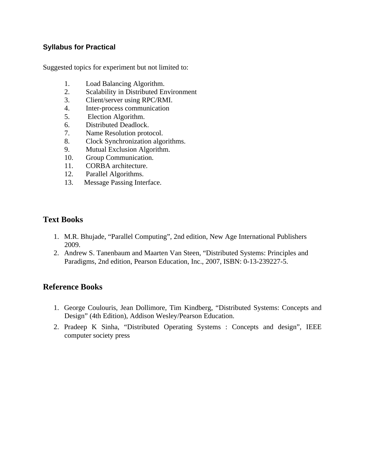### **Syllabus for Practical**

Suggested topics for experiment but not limited to:

- 1. Load Balancing Algorithm.
- 2. Scalability in Distributed Environment
- 3. Client/server using RPC/RMI.
- 4. Inter-process communication
- 5. Election Algorithm.
- 6. Distributed Deadlock.
- 7. Name Resolution protocol.
- 8. Clock Synchronization algorithms.
- 9. Mutual Exclusion Algorithm.
- 10. Group Communication.
- 11. CORBA architecture.
- 12. Parallel Algorithms.
- 13. Message Passing Interface.

### **Text Books**

- 1. M.R. Bhujade, "Parallel Computing", 2nd edition, New Age International Publishers 2009.
- 2. Andrew S. Tanenbaum and Maarten Van Steen, "Distributed Systems: Principles and Paradigms, 2nd edition, Pearson Education, Inc., 2007, ISBN: 0-13-239227-5.

### **Reference Books**

- 1. George Coulouris, Jean Dollimore, Tim Kindberg, "Distributed Systems: Concepts and Design" (4th Edition), Addison Wesley/Pearson Education.
- 2. Pradeep K Sinha, "Distributed Operating Systems : Concepts and design", IEEE computer society press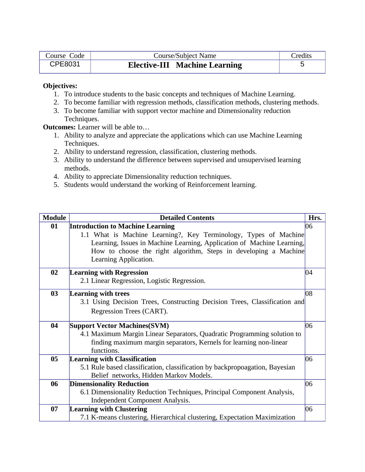| Course Code | Course/Subject Name                  | Credits |
|-------------|--------------------------------------|---------|
| CPE8031     | <b>Elective-III Machine Learning</b> |         |

- 1. To introduce students to the basic concepts and techniques of Machine Learning.
- 2. To become familiar with regression methods, classification methods, clustering methods.
- 3. To become familiar with support vector machine and Dimensionality reduction Techniques.

**Outcomes:** Learner will be able to…

- 1. Ability to analyze and appreciate the applications which can use Machine Learning Techniques.
- 2. Ability to understand regression, classification, clustering methods.
- 3. Ability to understand the difference between supervised and unsupervised learning methods.
- 4. Ability to appreciate Dimensionality reduction techniques.
- 5. Students would understand the working of Reinforcement learning.

| <b>Module</b> | <b>Detailed Contents</b>                                                    | Hrs. |
|---------------|-----------------------------------------------------------------------------|------|
| 01            | <b>Introduction to Machine Learning</b>                                     | 06   |
|               | 1.1 What is Machine Learning?, Key Terminology, Types of Machine            |      |
|               | Learning, Issues in Machine Learning, Application of Machine Learning,      |      |
|               | How to choose the right algorithm, Steps in developing a Machine            |      |
|               | Learning Application.                                                       |      |
| 02            | <b>Learning with Regression</b>                                             | 04   |
|               | 2.1 Linear Regression, Logistic Regression.                                 |      |
| 03            | <b>Learning with trees</b>                                                  | 08   |
|               | 3.1 Using Decision Trees, Constructing Decision Trees, Classification and   |      |
|               | Regression Trees (CART).                                                    |      |
| 04            | <b>Support Vector Machines (SVM)</b>                                        | 06   |
|               | 4.1 Maximum Margin Linear Separators, Quadratic Programming solution to     |      |
|               | finding maximum margin separators, Kernels for learning non-linear          |      |
|               | functions.                                                                  |      |
| 05            | <b>Learning with Classification</b>                                         | 06   |
|               | 5.1 Rule based classification, classification by backpropoagation, Bayesian |      |
|               | Belief networks, Hidden Markov Models.                                      |      |
| 06            | <b>Dimensionality Reduction</b>                                             | 06   |
|               | 6.1 Dimensionality Reduction Techniques, Principal Component Analysis,      |      |
|               | <b>Independent Component Analysis.</b>                                      |      |
| 07            | <b>Learning with Clustering</b>                                             | 06   |
|               | 7.1 K-means clustering, Hierarchical clustering, Expectation Maximization   |      |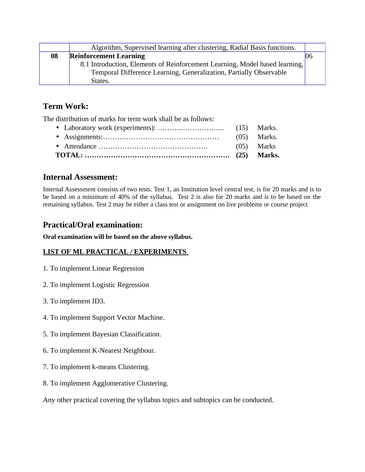|    | Algorithm, Supervised learning after clustering, Radial Basis functions.    |    |
|----|-----------------------------------------------------------------------------|----|
| 08 | <b>Reinforcement Learning</b>                                               | 06 |
|    | 8.1 Introduction, Elements of Reinforcement Learning, Model based learning, |    |
|    | Temporal Difference Learning, Generalization, Partially Observable          |    |
|    | States.                                                                     |    |

The distribution of marks for term work shall be as follows:

## **Internal Assessment:**

Internal Assessment consists of two tests. Test 1, an Institution level central test, is for 20 marks and is to be based on a minimum of 40% of the syllabus. Test 2 is also for 20 marks and is to be based on the remaining syllabus. Test 2 may be either a class test or assignment on live problems or course project

## **Practical/Oral examination:**

**Oral examination will be based on the above syllabus.**

### **LIST OF ML PRACTICAL / EXPERIMENTS**

- 1. To implement Linear Regression
- 2. To implement Logistic Regression
- 3. To implement ID3.
- 4. To implement Support Vector Machine.
- 5. To implement Bayesian Classification.
- 6. To implement K-Nearest Neighbour.
- 7. To implement k-means Clustering.
- 8. To implement Agglomerative Clustering.

Any other practical covering the syllabus topics and subtopics can be conducted.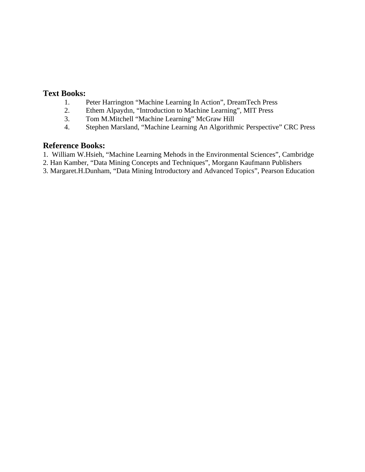### **Text Books:**

- 1. Peter Harrington "Machine Learning In Action", DreamTech Press
- 2. Ethem Alpaydın, "Introduction to Machine Learning", MIT Press
- 3. Tom M.Mitchell "Machine Learning" McGraw Hill
- 4. Stephen Marsland, "Machine Learning An Algorithmic Perspective" CRC Press

### **Reference Books:**

- 1. William W.Hsieh, "Machine Learning Mehods in the Environmental Sciences", Cambridge
- 2. Han Kamber, "Data Mining Concepts and Techniques", Morgann Kaufmann Publishers
- 3. Margaret.H.Dunham, "Data Mining Introductory and Advanced Topics", Pearson Education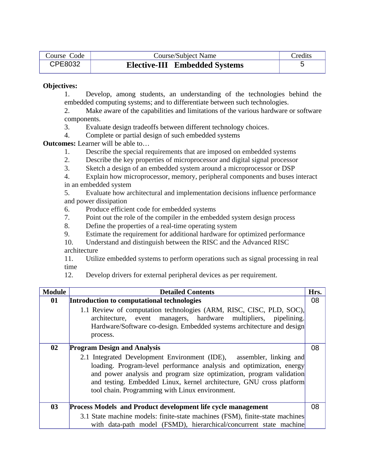| Course Code | <b>Course/Subject Name</b>           | Credits |
|-------------|--------------------------------------|---------|
| CPE8032     | <b>Elective-III</b> Embedded Systems |         |

1. Develop, among students, an understanding of the technologies behind the embedded computing systems; and to differentiate between such technologies.

2. Make aware of the capabilities and limitations of the various hardware or software components.

- 3. Evaluate design tradeoffs between different technology choices.
- 4. Complete or partial design of such embedded systems

**Outcomes:** Learner will be able to…

- 1. Describe the special requirements that are imposed on embedded systems
- 2. Describe the key properties of microprocessor and digital signal processor
- 3. Sketch a design of an embedded system around a microprocessor or DSP

4. Explain how microprocessor, memory, peripheral components and buses interact in an embedded system

5. Evaluate how architectural and implementation decisions influence performance and power dissipation

- 6. Produce efficient code for embedded systems
- 7. Point out the role of the compiler in the embedded system design process
- 8. Define the properties of a real-time operating system
- 9. Estimate the requirement for additional hardware for optimized performance
- 10. Understand and distinguish between the RISC and the Advanced RISC architecture

11. Utilize embedded systems to perform operations such as signal processing in real time

12. Develop drivers for external peripheral devices as per requirement.

| <b>Module</b> | <b>Detailed Contents</b>                                                                                                                                                                                                                                                                                                                        | Hrs. |
|---------------|-------------------------------------------------------------------------------------------------------------------------------------------------------------------------------------------------------------------------------------------------------------------------------------------------------------------------------------------------|------|
| 01            | Introduction to computational technologies                                                                                                                                                                                                                                                                                                      | 08   |
|               | 1.1 Review of computation technologies (ARM, RISC, CISC, PLD, SOC),<br>architecture, event managers, hardware multipliers, pipelining.<br>Hardware/Software co-design. Embedded systems architecture and design<br>process.                                                                                                                     |      |
| 02            | <b>Program Design and Analysis</b>                                                                                                                                                                                                                                                                                                              | 08   |
|               | 2.1 Integrated Development Environment (IDE), assembler, linking and<br>loading. Program-level performance analysis and optimization, energy<br>and power analysis and program size optimization, program validation<br>and testing. Embedded Linux, kernel architecture, GNU cross platform<br>tool chain. Programming with Linux environment. |      |
| 03            | Process Models and Product development life cycle management                                                                                                                                                                                                                                                                                    | 08   |
|               | 3.1 State machine models: finite-state machines (FSM), finite-state machines<br>with data-path model (FSMD), hierarchical/concurrent state machine                                                                                                                                                                                              |      |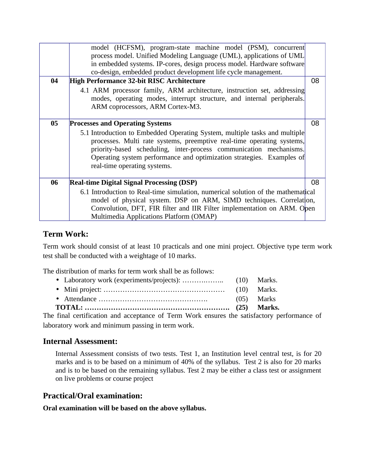| 04 | model (HCFSM), program-state machine model (PSM), concurrent<br>process model. Unified Modeling Language (UML), applications of UML<br>in embedded systems. IP-cores, design process model. Hardware software<br>co-design, embedded product development life cycle management.<br><b>High Performance 32-bit RISC Architecture</b><br>4.1 ARM processor family, ARM architecture, instruction set, addressing<br>modes, operating modes, interrupt structure, and internal peripherals.<br>ARM coprocessors, ARM Cortex-M3. | 08 |
|----|------------------------------------------------------------------------------------------------------------------------------------------------------------------------------------------------------------------------------------------------------------------------------------------------------------------------------------------------------------------------------------------------------------------------------------------------------------------------------------------------------------------------------|----|
| 05 | <b>Processes and Operating Systems</b><br>5.1 Introduction to Embedded Operating System, multiple tasks and multiple<br>processes. Multi rate systems, preemptive real-time operating systems,<br>priority-based scheduling, inter-process communication mechanisms.<br>Operating system performance and optimization strategies. Examples of<br>real-time operating systems.                                                                                                                                                | 08 |
| 06 | <b>Real-time Digital Signal Processing (DSP)</b>                                                                                                                                                                                                                                                                                                                                                                                                                                                                             | 08 |
|    | 6.1 Introduction to Real-time simulation, numerical solution of the mathematical<br>model of physical system. DSP on ARM, SIMD techniques. Correlation,<br>Convolution, DFT, FIR filter and IIR Filter implementation on ARM. Open<br>Multimedia Applications Platform (OMAP)                                                                                                                                                                                                                                                |    |

Term work should consist of at least 10 practicals and one mini project. Objective type term work test shall be conducted with a weightage of 10 marks.

The distribution of marks for term work shall be as follows:

• Laboratory work (experiments/projects): ……….…….. (10) Marks. • Mini project: …………………………………………… (10) Marks. • Attendance ………………………………………. (05) Marks

**TOTAL: ……………………………………………………. (25) Marks.**

The final certification and acceptance of Term Work ensures the satisfactory performance of laboratory work and minimum passing in term work.

### **Internal Assessment:**

Internal Assessment consists of two tests. Test 1, an Institution level central test, is for 20 marks and is to be based on a minimum of 40% of the syllabus. Test 2 is also for 20 marks and is to be based on the remaining syllabus. Test 2 may be either a class test or assignment on live problems or course project

### **Practical/Oral examination:**

**Oral examination will be based on the above syllabus.**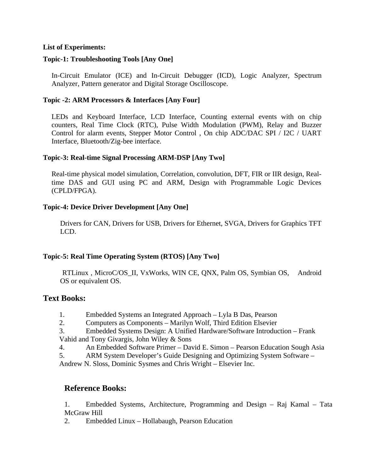#### **List of Experiments:**

### **Topic-1: Troubleshooting Tools [Any One]**

In-Circuit Emulator (ICE) and In-Circuit Debugger (ICD), Logic Analyzer, Spectrum Analyzer, Pattern generator and Digital Storage Oscilloscope.

### **Topic -2: ARM Processors & Interfaces [Any Four]**

LEDs and Keyboard Interface, LCD Interface, Counting external events with on chip counters, Real Time Clock (RTC), Pulse Width Modulation (PWM), Relay and Buzzer Control for alarm events, Stepper Motor Control , On chip ADC/DAC SPI / I2C / UART Interface, Bluetooth/Zig-bee interface.

#### **Topic-3: Real-time Signal Processing ARM-DSP [Any Two]**

Real-time physical model simulation, Correlation, convolution, DFT, FIR or IIR design, Realtime DAS and GUI using PC and ARM, Design with Programmable Logic Devices (CPLD/FPGA).

#### **Topic-4: Device Driver Development [Any One]**

Drivers for CAN, Drivers for USB, Drivers for Ethernet, SVGA, Drivers for Graphics TFT LCD.

#### **Topic-5: Real Time Operating System (RTOS) [Any Two]**

 RTLinux , MicroC/OS\_II, VxWorks, WIN CE, QNX, Palm OS, Symbian OS, Android OS or equivalent OS.

### **Text Books:**

- 1. Embedded Systems an Integrated Approach Lyla B Das, Pearson
- 2. Computers as Components Marilyn Wolf, Third Edition Elsevier
- 3. Embedded Systems Design: A Unified Hardware/Software Introduction Frank Vahid and Tony Givargis, John Wiley & Sons
- 4. An Embedded Software Primer David E. Simon Pearson Education Sough Asia
- 5. ARM System Developer's Guide Designing and Optimizing System Software –
- Andrew N. Sloss, Dominic Sysmes and Chris Wright Elsevier Inc.

### **Reference Books:**

1. Embedded Systems, Architecture, Programming and Design – Raj Kamal – Tata McGraw Hill

2. Embedded Linux – Hollabaugh, Pearson Education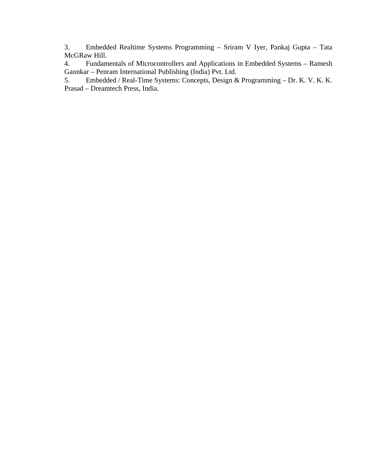3. Embedded Realtime Systems Programming – Sriram V Iyer, Pankaj Gupta – Tata McGRaw Hill.

4. Fundamentals of Microcontrollers and Applications in Embedded Systems – Ramesh Gaonkar – Penram International Publishing (India) Pvt. Ltd.<br>5. Embedded / Real-Time Systems: Concepts, Design &

5. Embedded / Real-Time Systems: Concepts, Design & Programming – Dr. K. V. K. K. Prasad – Dreamtech Press, India.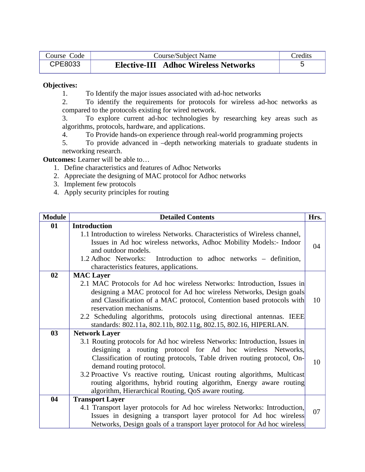| Course Code | Course/Subject Name                         | Credits |
|-------------|---------------------------------------------|---------|
| CPE8033     | <b>Elective-III Adhoc Wireless Networks</b> |         |

1. To Identify the major issues associated with ad-hoc networks

2. To identify the requirements for protocols for wireless ad-hoc networks as compared to the protocols existing for wired network.

3. To explore current ad-hoc technologies by researching key areas such as algorithms, protocols, hardware, and applications.

4. To Provide hands-on experience through real-world programming projects

5. To provide advanced in –depth networking materials to graduate students in networking research.

**Outcomes:** Learner will be able to…

- 1. Define characteristics and features of Adhoc Networks
- 2. Appreciate the designing of MAC protocol for Adhoc networks
- 3. Implement few protocols
- 4. Apply security principles for routing

| <b>Module</b>  | <b>Detailed Contents</b>                                                    | Hrs. |  |
|----------------|-----------------------------------------------------------------------------|------|--|
| 01             | <b>Introduction</b>                                                         |      |  |
|                | 1.1 Introduction to wireless Networks. Characteristics of Wireless channel, |      |  |
|                | Issues in Ad hoc wireless networks, Adhoc Mobility Models:- Indoor          | 04   |  |
|                | and outdoor models.                                                         |      |  |
|                | 1.2 Adhoc Networks:<br>Introduction to adhoc networks – definition,         |      |  |
|                | characteristics features, applications.                                     |      |  |
| 0 <sub>2</sub> | <b>MAC</b> Layer                                                            |      |  |
|                | 2.1 MAC Protocols for Ad hoc wireless Networks: Introduction, Issues in     |      |  |
|                | designing a MAC protocol for Ad hoc wireless Networks, Design goals         |      |  |
|                | and Classification of a MAC protocol, Contention based protocols with       | 10   |  |
|                | reservation mechanisms.                                                     |      |  |
|                | 2.2 Scheduling algorithms, protocols using directional antennas. IEEE       |      |  |
|                | standards: 802.11a, 802.11b, 802.11g, 802.15, 802.16, HIPERLAN.             |      |  |
| 03             | <b>Network Layer</b>                                                        |      |  |
|                | 3.1 Routing protocols for Ad hoc wireless Networks: Introduction, Issues in |      |  |
|                | designing a routing protocol for Ad hoc wireless Networks,                  |      |  |
|                | Classification of routing protocols, Table driven routing protocol, On-     |      |  |
|                | 10<br>demand routing protocol.                                              |      |  |
|                | 3.2 Proactive Vs reactive routing, Unicast routing algorithms, Multicast    |      |  |
|                | routing algorithms, hybrid routing algorithm, Energy aware routing          |      |  |
|                | algorithm, Hierarchical Routing, QoS aware routing.                         |      |  |
| 04             | <b>Transport Layer</b>                                                      |      |  |
|                | 4.1 Transport layer protocols for Ad hoc wireless Networks: Introduction,   |      |  |
|                | Issues in designing a transport layer protocol for Ad hoc wireless          | 07   |  |
|                | Networks, Design goals of a transport layer protocol for Ad hoc wireless    |      |  |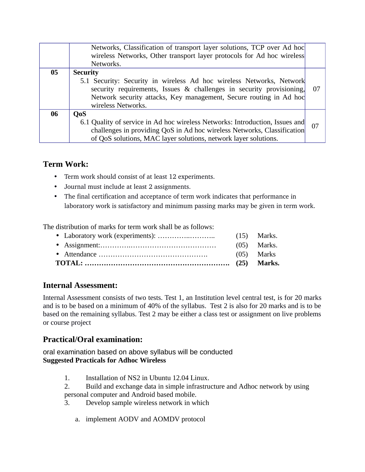|    | Networks, Classification of transport layer solutions, TCP over Ad hoc<br>wireless Networks, Other transport layer protocols for Ad hoc wireless<br>Networks.                                                                                               |    |
|----|-------------------------------------------------------------------------------------------------------------------------------------------------------------------------------------------------------------------------------------------------------------|----|
| 05 | <b>Security</b><br>5.1 Security: Security in wireless Ad hoc wireless Networks, Network<br>security requirements, Issues & challenges in security provisioning,<br>Network security attacks, Key management, Secure routing in Ad hoc<br>wireless Networks. | 07 |
| 06 | <b>QoS</b><br>6.1 Quality of service in Ad hoc wireless Networks: Introduction, Issues and<br>challenges in providing QoS in Ad hoc wireless Networks, Classification<br>of QoS solutions, MAC layer solutions, network layer solutions.                    | 07 |

- Term work should consist of at least 12 experiments.
- Journal must include at least 2 assignments.
- The final certification and acceptance of term work indicates that performance in laboratory work is satisfactory and minimum passing marks may be given in term work.

The distribution of marks for term work shall be as follows:

|  | (05) Marks    |
|--|---------------|
|  | $(05)$ Marks. |
|  |               |

## **Internal Assessment:**

Internal Assessment consists of two tests. Test 1, an Institution level central test, is for 20 marks and is to be based on a minimum of 40% of the syllabus. Test 2 is also for 20 marks and is to be based on the remaining syllabus. Test 2 may be either a class test or assignment on live problems or course project

## **Practical/Oral examination:**

oral examination based on above syllabus will be conducted **Suggested Practicals for Adhoc Wireless** 

- 1. Installation of NS2 in Ubuntu 12.04 Linux.
- 2. Build and exchange data in simple infrastructure and Adhoc network by using personal computer and Android based mobile.
- 3. Develop sample wireless network in which
	- a. implement AODV and AOMDV protocol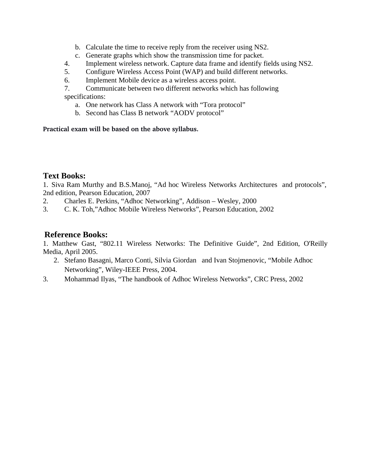- b. Calculate the time to receive reply from the receiver using NS2.
- c. Generate graphs which show the transmission time for packet.
- 4. Implement wireless network. Capture data frame and identify fields using NS2.
- 5. Configure Wireless Access Point (WAP) and build different networks.
- 6. Implement Mobile device as a wireless access point.
- 7. Communicate between two different networks which has following

specifications:

- a. One network has Class A network with "Tora protocol"
- b. Second has Class B network "AODV protocol"

### **Practical exam will be based on the above syllabus.**

### **Text Books:**

1. Siva Ram Murthy and B.S.Manoj, "Ad hoc Wireless Networks Architectures and protocols", 2nd edition, Pearson Education, 2007

- 2. Charles E. Perkins, "Adhoc Networking", Addison Wesley, 2000
- 3. C. K. Toh,"Adhoc Mobile Wireless Networks", Pearson Education, 2002

### **Reference Books:**

1. Matthew Gast, "802.11 Wireless Networks: The Definitive Guide", 2nd Edition, O'Reilly Media, April 2005.

- 2. Stefano Basagni, Marco Conti, Silvia Giordan and Ivan Stojmenovic, "Mobile Adhoc Networking", Wiley-IEEE Press, 2004.
- 3. Mohammad Ilyas, "The handbook of Adhoc Wireless Networks", CRC Press, 2002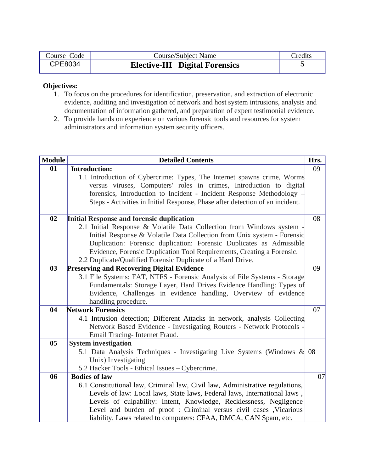| Course Code | <b>Course/Subject Name</b>            | Credits |
|-------------|---------------------------------------|---------|
| CPE8034     | <b>Elective-III Digital Forensics</b> |         |

- 1. To focus on the procedures for identification, preservation, and extraction of electronic evidence, auditing and investigation of network and host system intrusions, analysis and documentation of information gathered, and preparation of expert testimonial evidence.
- 2. To provide hands on experience on various forensic tools and resources for system administrators and information system security officers.

| <b>Module</b> | <b>Detailed Contents</b>                                                      | Hrs. |
|---------------|-------------------------------------------------------------------------------|------|
| 01            | <b>Introduction:</b>                                                          | 09   |
|               | 1.1 Introduction of Cybercrime: Types, The Internet spawns crime, Worms       |      |
|               | versus viruses, Computers' roles in crimes, Introduction to digital           |      |
|               | forensics, Introduction to Incident - Incident Response Methodology -         |      |
|               | Steps - Activities in Initial Response, Phase after detection of an incident. |      |
|               |                                                                               |      |
| 02            | <b>Initial Response and forensic duplication</b>                              | 08   |
|               | 2.1 Initial Response & Volatile Data Collection from Windows system -         |      |
|               | Initial Response & Volatile Data Collection from Unix system - Forensic       |      |
|               | Duplication: Forensic duplication: Forensic Duplicates as Admissible          |      |
|               | Evidence, Forensic Duplication Tool Requirements, Creating a Forensic.        |      |
|               | 2.2 Duplicate/Qualified Forensic Duplicate of a Hard Drive.                   |      |
| 03            | <b>Preserving and Recovering Digital Evidence</b>                             | 09   |
|               | 3.1 File Systems: FAT, NTFS - Forensic Analysis of File Systems - Storage     |      |
|               | Fundamentals: Storage Layer, Hard Drives Evidence Handling: Types of          |      |
|               | Evidence, Challenges in evidence handling, Overview of evidence               |      |
|               | handling procedure.                                                           |      |
| 04            | <b>Network Forensics</b>                                                      | 07   |
|               | 4.1 Intrusion detection; Different Attacks in network, analysis Collecting    |      |
|               | Network Based Evidence - Investigating Routers - Network Protocols -          |      |
|               | Email Tracing- Internet Fraud.                                                |      |
| 05            | <b>System investigation</b>                                                   |      |
|               | 5.1 Data Analysis Techniques - Investigating Live Systems (Windows & 08       |      |
|               | Unix) Investigating                                                           |      |
|               | 5.2 Hacker Tools - Ethical Issues - Cybercrime.                               |      |
| 06            | <b>Bodies of law</b>                                                          | 07   |
|               | 6.1 Constitutional law, Criminal law, Civil law, Administrative regulations,  |      |
|               | Levels of law: Local laws, State laws, Federal laws, International laws,      |      |
|               | Levels of culpability: Intent, Knowledge, Recklessness, Negligence            |      |
|               | Level and burden of proof : Criminal versus civil cases , Vicarious           |      |
|               | liability, Laws related to computers: CFAA, DMCA, CAN Spam, etc.              |      |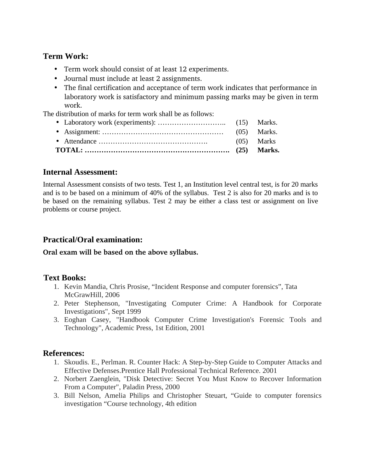- Term work should consist of at least 12 experiments.
- Journal must include at least 2 assignments.
- The final certification and acceptance of term work indicates that performance in laboratory work is satisfactory and minimum passing marks may be given in term work.

The distribution of marks for term work shall be as follows:

• Laboratory work (experiments): ……………………….. (15) Marks. • Assignment: …………………………………………… (05) Marks. • Attendance ………………………………………. (05) Marks **TOTAL: ……………………………………………………. (25) Marks.**

### **Internal Assessment:**

Internal Assessment consists of two tests. Test 1, an Institution level central test, is for 20 marks and is to be based on a minimum of 40% of the syllabus. Test 2 is also for 20 marks and is to be based on the remaining syllabus. Test 2 may be either a class test or assignment on live problems or course project.

## **Practical/Oral examination:**

### **Oral exam will be based on the above syllabus.**

## **Text Books:**

- 1. Kevin Mandia, Chris Prosise, "Incident Response and computer forensics", Tata McGrawHill, 2006
- 2. Peter Stephenson, "Investigating Computer Crime: A Handbook for Corporate Investigations", Sept 1999
- 3. Eoghan Casey, "Handbook Computer Crime Investigation's Forensic Tools and Technology", Academic Press, 1st Edition, 2001

## **References:**

- 1. Skoudis. E., Perlman. R. Counter Hack: A Step-by-Step Guide to Computer Attacks and Effective Defenses.Prentice Hall Professional Technical Reference. 2001
- 2. Norbert Zaenglein, "Disk Detective: Secret You Must Know to Recover Information From a Computer", Paladin Press, 2000
- 3. Bill Nelson, Amelia Philips and Christopher Steuart, "Guide to computer forensics investigation "Course technology, 4th edition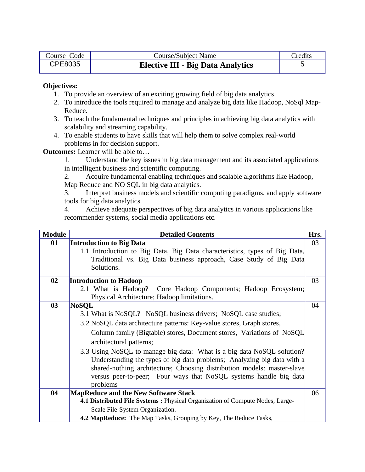| Course Code    | Course/Subject Name                      | Credits |
|----------------|------------------------------------------|---------|
| <b>CPE8035</b> | <b>Elective III - Big Data Analytics</b> |         |

- 1. To provide an overview of an exciting growing field of big data analytics.
- 2. To introduce the tools required to manage and analyze big data like Hadoop, NoSql Map-Reduce.
- 3. To teach the fundamental techniques and principles in achieving big data analytics with scalability and streaming capability.
- 4. To enable students to have skills that will help them to solve complex real-world problems in for decision support.

**Outcomes:** Learner will be able to…

1. Understand the key issues in big data management and its associated applications in intelligent business and scientific computing.

2. Acquire fundamental enabling techniques and scalable algorithms like Hadoop, Map Reduce and NO SQL in big data analytics.

3. Interpret business models and scientific computing paradigms, and apply software tools for big data analytics.

4. Achieve adequate perspectives of big data analytics in various applications like recommender systems, social media applications etc.

| <b>Module</b> | <b>Detailed Contents</b><br>Hrs.                                             |    |
|---------------|------------------------------------------------------------------------------|----|
| 01            | <b>Introduction to Big Data</b>                                              | 03 |
|               | 1.1 Introduction to Big Data, Big Data characteristics, types of Big Data,   |    |
|               | Traditional vs. Big Data business approach, Case Study of Big Data           |    |
|               | Solutions.                                                                   |    |
| 02            | <b>Introduction to Hadoop</b>                                                | 03 |
|               | 2.1 What is Hadoop? Core Hadoop Components; Hadoop Ecosystem;                |    |
|               | Physical Architecture; Hadoop limitations.                                   |    |
| 03            | <b>NoSQL</b>                                                                 | 04 |
|               | 3.1 What is NoSQL? NoSQL business drivers; NoSQL case studies;               |    |
|               | 3.2 NoSQL data architecture patterns: Key-value stores, Graph stores,        |    |
|               | Column family (Bigtable) stores, Document stores, Variations of NoSQL        |    |
|               | architectural patterns;                                                      |    |
|               | 3.3 Using NoSQL to manage big data: What is a big data NoSQL solution?       |    |
|               | Understanding the types of big data problems; Analyzing big data with a      |    |
|               | shared-nothing architecture; Choosing distribution models: master-slave      |    |
|               | versus peer-to-peer; Four ways that NoSQL systems handle big data            |    |
|               | problems                                                                     |    |
| 04            | <b>MapReduce and the New Software Stack</b>                                  | 06 |
|               | 4.1 Distributed File Systems: Physical Organization of Compute Nodes, Large- |    |
|               | Scale File-System Organization.                                              |    |
|               | <b>4.2 MapReduce:</b> The Map Tasks, Grouping by Key, The Reduce Tasks,      |    |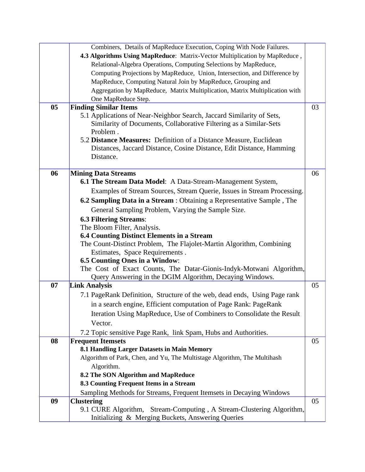|    | Combiners, Details of MapReduce Execution, Coping With Node Failures.       |    |
|----|-----------------------------------------------------------------------------|----|
|    | 4.3 Algorithms Using MapReduce: Matrix-Vector Multiplication by MapReduce,  |    |
|    | Relational-Algebra Operations, Computing Selections by MapReduce,           |    |
|    | Computing Projections by MapReduce, Union, Intersection, and Difference by  |    |
|    | MapReduce, Computing Natural Join by MapReduce, Grouping and                |    |
|    | Aggregation by MapReduce, Matrix Multiplication, Matrix Multiplication with |    |
|    | One MapReduce Step.                                                         |    |
| 05 | <b>Finding Similar Items</b>                                                | 03 |
|    | 5.1 Applications of Near-Neighbor Search, Jaccard Similarity of Sets,       |    |
|    | Similarity of Documents, Collaborative Filtering as a Similar-Sets          |    |
|    | Problem.                                                                    |    |
|    | 5.2 Distance Measures: Definition of a Distance Measure, Euclidean          |    |
|    | Distances, Jaccard Distance, Cosine Distance, Edit Distance, Hamming        |    |
|    | Distance.                                                                   |    |
|    |                                                                             |    |
| 06 | <b>Mining Data Streams</b>                                                  | 06 |
|    | 6.1 The Stream Data Model: A Data-Stream-Management System,                 |    |
|    | Examples of Stream Sources, Stream Querie, Issues in Stream Processing.     |    |
|    | 6.2 Sampling Data in a Stream : Obtaining a Representative Sample, The      |    |
|    | General Sampling Problem, Varying the Sample Size.                          |    |
|    | <b>6.3 Filtering Streams:</b>                                               |    |
|    | The Bloom Filter, Analysis.                                                 |    |
|    | <b>6.4 Counting Distinct Elements in a Stream</b>                           |    |
|    | The Count-Distinct Problem, The Flajolet-Martin Algorithm, Combining        |    |
|    | Estimates, Space Requirements.                                              |    |
|    | <b>6.5 Counting Ones in a Window:</b>                                       |    |
|    | The Cost of Exact Counts, The Datar-Gionis-Indyk-Motwani Algorithm,         |    |
|    | Query Answering in the DGIM Algorithm, Decaying Windows.                    |    |
| 07 | <b>Link Analysis</b>                                                        | 05 |
|    | 7.1 PageRank Definition, Structure of the web, dead ends, Using Page rank   |    |
|    | in a search engine, Efficient computation of Page Rank: PageRank            |    |
|    | Iteration Using MapReduce, Use of Combiners to Consolidate the Result       |    |
|    | Vector.                                                                     |    |
|    | 7.2 Topic sensitive Page Rank, link Spam, Hubs and Authorities.             |    |
| 08 | <b>Frequent Itemsets</b>                                                    | 05 |
|    | 8.1 Handling Larger Datasets in Main Memory                                 |    |
|    | Algorithm of Park, Chen, and Yu, The Multistage Algorithm, The Multihash    |    |
|    | Algorithm.                                                                  |    |
|    | 8.2 The SON Algorithm and MapReduce                                         |    |
|    | 8.3 Counting Frequent Items in a Stream                                     |    |
|    | Sampling Methods for Streams, Frequent Itemsets in Decaying Windows         |    |
| 09 | <b>Clustering</b>                                                           | 05 |
|    | 9.1 CURE Algorithm, Stream-Computing, A Stream-Clustering Algorithm,        |    |
|    | Initializing & Merging Buckets, Answering Queries                           |    |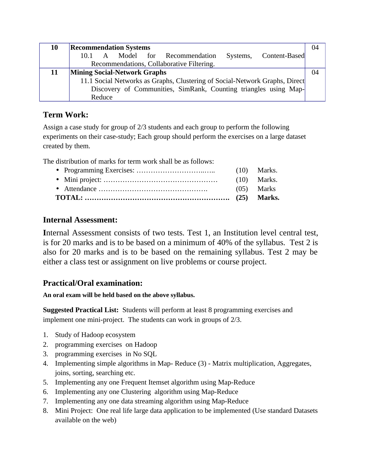| 10 | <b>Recommendation Systems</b>                                               |  |  |
|----|-----------------------------------------------------------------------------|--|--|
|    | 10.1 A Model for Recommendation<br>Systems, Content-Based                   |  |  |
|    | Recommendations, Collaborative Filtering.                                   |  |  |
| 11 | <b>Mining Social-Network Graphs</b>                                         |  |  |
|    | 11.1 Social Networks as Graphs, Clustering of Social-Network Graphs, Direct |  |  |
|    | Discovery of Communities, SimRank, Counting triangles using Map-            |  |  |
|    | Reduce                                                                      |  |  |

Assign a case study for group of 2/3 students and each group to perform the following experiments on their case-study; Each group should perform the exercises on a large dataset created by them.

The distribution of marks for term work shall be as follows:

|  | (05) Marks    |
|--|---------------|
|  | $(10)$ Marks. |
|  |               |

# **Internal Assessment:**

**I**nternal Assessment consists of two tests. Test 1, an Institution level central test, is for 20 marks and is to be based on a minimum of 40% of the syllabus. Test 2 is also for 20 marks and is to be based on the remaining syllabus. Test 2 may be either a class test or assignment on live problems or course project.

# **Practical/Oral examination:**

**An oral exam will be held based on the above syllabus.** 

**Suggested Practical List:** Students will perform at least 8 programming exercises and implement one mini-project. The students can work in groups of 2/3.

- 1. Study of Hadoop ecosystem
- 2. programming exercises on Hadoop
- 3. programming exercises in No SQL
- 4. Implementing simple algorithms in Map- Reduce (3) Matrix multiplication, Aggregates, joins, sorting, searching etc.
- 5. Implementing any one Frequent Itemset algorithm using Map-Reduce
- 6. Implementing any one Clustering algorithm using Map-Reduce
- 7. Implementing any one data streaming algorithm using Map-Reduce
- 8. Mini Project: One real life large data application to be implemented (Use standard Datasets available on the web)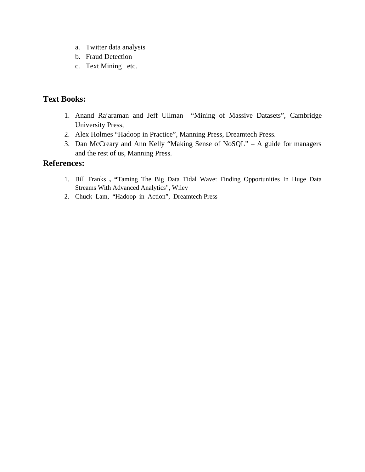- a. Twitter data analysis
- b. Fraud Detection
- c. Text Mining etc.

# **Text Books:**

- 1. Anand Rajaraman and Jeff Ullman "Mining of Massive Datasets", Cambridge University Press,
- 2. Alex Holmes "Hadoop in Practice", Manning Press, Dreamtech Press.
- 3. Dan McCreary and Ann Kelly "Making Sense of NoSQL" A guide for managers and the rest of us, Manning Press.

### **References:**

- 1. Bill Franks **, "**Taming The Big Data Tidal Wave: Finding Opportunities In Huge Data Streams With Advanced Analytics", Wiley
- 2. Chuck Lam, "Hadoop in Action", Dreamtech Press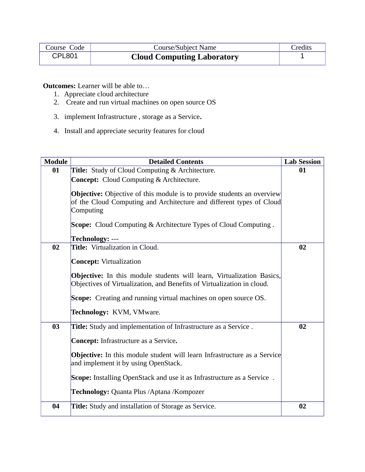| Course Code   | Course/Subject Name               | <b>Credits</b> |
|---------------|-----------------------------------|----------------|
| <b>CPL801</b> | <b>Cloud Computing Laboratory</b> |                |

**Outcomes:** Learner will be able to…

- 1. Appreciate cloud architecture
- 2. Create and run virtual machines on open source OS
- 3. implement Infrastructure , storage as a Service**.**
- 4. Install and appreciate security features for cloud

| <b>Module</b> | <b>Detailed Contents</b>                                                                                                                                                                                                                     | <b>Lab Session</b> |
|---------------|----------------------------------------------------------------------------------------------------------------------------------------------------------------------------------------------------------------------------------------------|--------------------|
| 01            | Title: Study of Cloud Computing & Architecture.                                                                                                                                                                                              | 01                 |
|               | <b>Concept:</b> Cloud Computing & Architecture.                                                                                                                                                                                              |                    |
|               | <b>Objective:</b> Objective of this module is to provide students an overview<br>of the Cloud Computing and Architecture and different types of Cloud<br>Computing<br><b>Scope:</b> Cloud Computing & Architecture Types of Cloud Computing. |                    |
|               | <b>Technology: ---</b>                                                                                                                                                                                                                       |                    |
| 02            | Title: Virtualization in Cloud.                                                                                                                                                                                                              | 02                 |
|               | <b>Concept: Virtualization</b>                                                                                                                                                                                                               |                    |
|               | <b>Objective:</b> In this module students will learn, Virtualization Basics,<br>Objectives of Virtualization, and Benefits of Virtualization in cloud.                                                                                       |                    |
|               | Scope: Creating and running virtual machines on open source OS.                                                                                                                                                                              |                    |
|               | Technology: KVM, VMware.                                                                                                                                                                                                                     |                    |
| 03            | Title: Study and implementation of Infrastructure as a Service.                                                                                                                                                                              | 02                 |
|               | <b>Concept:</b> Infrastructure as a Service.                                                                                                                                                                                                 |                    |
|               | <b>Objective:</b> In this module student will learn Infrastructure as a Service<br>and implement it by using OpenStack.                                                                                                                      |                    |
|               | <b>Scope:</b> Installing OpenStack and use it as Infrastructure as a Service.                                                                                                                                                                |                    |
|               | Technology: Quanta Plus / Aptana / Kompozer                                                                                                                                                                                                  |                    |
| 04            | Title: Study and installation of Storage as Service.                                                                                                                                                                                         | 02                 |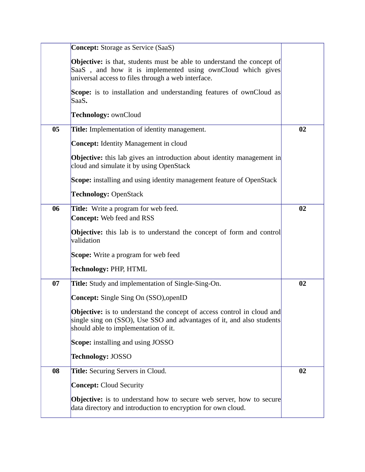|    | <b>Concept:</b> Storage as Service (SaaS)                                                                                                                                                         |    |
|----|---------------------------------------------------------------------------------------------------------------------------------------------------------------------------------------------------|----|
|    | <b>Objective:</b> is that, students must be able to understand the concept of<br>SaaS, and how it is implemented using ownCloud which gives<br>universal access to files through a web interface. |    |
|    | Scope: is to installation and understanding features of ownCloud as<br>SaaS.                                                                                                                      |    |
|    | Technology: ownCloud                                                                                                                                                                              |    |
| 05 | <b>Title:</b> Implementation of identity management.                                                                                                                                              | 02 |
|    | <b>Concept:</b> Identity Management in cloud                                                                                                                                                      |    |
|    | <b>Objective:</b> this lab gives an introduction about identity management in<br>cloud and simulate it by using OpenStack                                                                         |    |
|    | <b>Scope:</b> installing and using identity management feature of OpenStack                                                                                                                       |    |
|    | <b>Technology: OpenStack</b>                                                                                                                                                                      |    |
| 06 | <b>Title:</b> Write a program for web feed.<br><b>Concept:</b> Web feed and RSS                                                                                                                   | 02 |
|    | <b>Objective:</b> this lab is to understand the concept of form and control<br>validation                                                                                                         |    |
|    | <b>Scope:</b> Write a program for web feed                                                                                                                                                        |    |
|    | <b>Technology: PHP, HTML</b>                                                                                                                                                                      |    |
| 07 | Title: Study and implementation of Single-Sing-On.                                                                                                                                                | 02 |
|    | <b>Concept:</b> Single Sing On (SSO), openID                                                                                                                                                      |    |
|    | <b>Objective:</b> is to understand the concept of access control in cloud and<br>single sing on (SSO), Use SSO and advantages of it, and also students<br>should able to implementation of it.    |    |
|    | <b>Scope:</b> installing and using JOSSO                                                                                                                                                          |    |
|    | <b>Technology: JOSSO</b>                                                                                                                                                                          |    |
| 08 | <b>Title:</b> Securing Servers in Cloud.                                                                                                                                                          | 02 |
|    | <b>Concept: Cloud Security</b>                                                                                                                                                                    |    |
|    | <b>Objective:</b> is to understand how to secure web server, how to secure<br>data directory and introduction to encryption for own cloud.                                                        |    |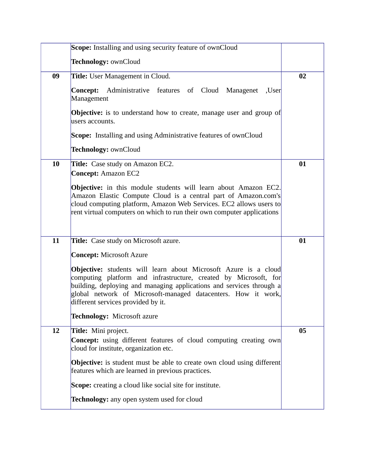|    | <b>Scope:</b> Installing and using security feature of ownCloud                                                                                                                                                                                                                                                    |    |
|----|--------------------------------------------------------------------------------------------------------------------------------------------------------------------------------------------------------------------------------------------------------------------------------------------------------------------|----|
|    | Technology: ownCloud                                                                                                                                                                                                                                                                                               |    |
| 09 | <b>Title:</b> User Management in Cloud.                                                                                                                                                                                                                                                                            | 02 |
|    | Administrative features of Cloud Managenet<br>Concept:<br>,User<br>Management                                                                                                                                                                                                                                      |    |
|    | <b>Objective:</b> is to understand how to create, manage user and group of<br>users accounts.                                                                                                                                                                                                                      |    |
|    | <b>Scope:</b> Installing and using Administrative features of ownCloud                                                                                                                                                                                                                                             |    |
|    | Technology: ownCloud                                                                                                                                                                                                                                                                                               |    |
| 10 | <b>Title:</b> Case study on Amazon EC2.<br><b>Concept: Amazon EC2</b>                                                                                                                                                                                                                                              | 01 |
|    | <b>Objective:</b> in this module students will learn about Amazon EC2.<br>Amazon Elastic Compute Cloud is a central part of Amazon.com's<br>cloud computing platform, Amazon Web Services. EC2 allows users to<br>rent virtual computers on which to run their own computer applications                           |    |
| 11 | Title: Case study on Microsoft azure.                                                                                                                                                                                                                                                                              | 01 |
|    | <b>Concept: Microsoft Azure</b>                                                                                                                                                                                                                                                                                    |    |
|    | Objective: students will learn about Microsoft Azure is a cloud<br>computing platform and infrastructure, created by Microsoft, for<br>building, deploying and managing applications and services through a<br>global network of Microsoft-managed datacenters. How it work,<br>different services provided by it. |    |
|    | Technology: Microsoft azure                                                                                                                                                                                                                                                                                        |    |
| 12 | Title: Mini project.<br><b>Concept:</b> using different features of cloud computing creating own<br>cloud for institute, organization etc.                                                                                                                                                                         | 05 |
|    | <b>Objective:</b> is student must be able to create own cloud using different<br>features which are learned in previous practices.                                                                                                                                                                                 |    |
|    | Scope: creating a cloud like social site for institute.                                                                                                                                                                                                                                                            |    |
|    | Technology: any open system used for cloud                                                                                                                                                                                                                                                                         |    |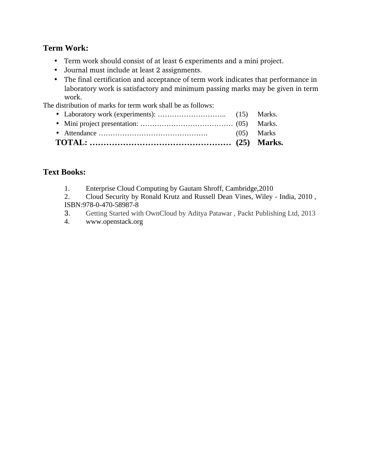- Term work should consist of at least 6 experiments and a mini project.
- Journal must include at least 2 assignments.
- The final certification and acceptance of term work indicates that performance in laboratory work is satisfactory and minimum passing marks may be given in term work.

The distribution of marks for term work shall be as follows:

• Laboratory work (experiments): ……………………….. (15) Marks. • Mini project presentation: ………………………………… (05) Marks. • Attendance ………………………………………. (05) Marks **TOTAL: …………………………………………… (25) Marks.**

## **Text Books:**

- 1. Enterprise Cloud Computing by Gautam Shroff, Cambridge,2010
- 2. Cloud Security by Ronald Krutz and Russell Dean Vines, Wiley India, 2010 , ISBN:978-0-470-58987-8
- 3. Getting Started with OwnCloud by Aditya Patawar , Packt Publishing Ltd, 2013
- 4. www.openstack.org